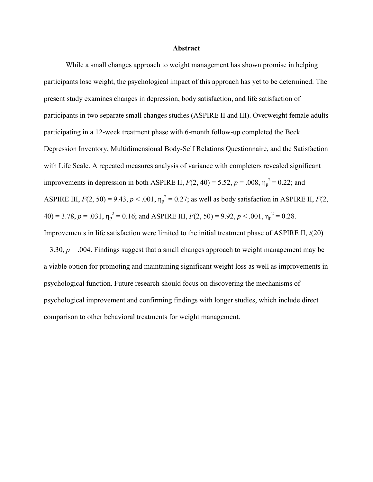#### **Abstract**

While a small changes approach to weight management has shown promise in helping participants lose weight, the psychological impact of this approach has yet to be determined. The present study examines changes in depression, body satisfaction, and life satisfaction of participants in two separate small changes studies (ASPIRE II and III). Overweight female adults participating in a 12-week treatment phase with 6-month follow-up completed the Beck Depression Inventory, Multidimensional Body-Self Relations Questionnaire, and the Satisfaction with Life Scale. A repeated measures analysis of variance with completers revealed significant improvements in depression in both ASPIRE II,  $F(2, 40) = 5.52$ ,  $p = .008$ ,  $\eta_p^2 = 0.22$ ; and ASPIRE III,  $F(2, 50) = 9.43$ ,  $p < .001$ ,  $\eta_p^2 = 0.27$ ; as well as body satisfaction in ASPIRE II,  $F(2, 50) = 9.43$ ,  $p < .001$ ,  $\eta_p^2 = 0.27$ ; as well as body satisfaction in ASPIRE II,  $F(2, 50) = 9.43$  $40$ ) = 3.78,  $p = .031$ ,  $\eta_p^2 = 0.16$ ; and ASPIRE III,  $F(2, 50) = 9.92$ ,  $p < .001$ ,  $\eta_p^2 = 0.28$ . Improvements in life satisfaction were limited to the initial treatment phase of ASPIRE II, *t*(20)  $= 3.30, p = .004$ . Findings suggest that a small changes approach to weight management may be a viable option for promoting and maintaining significant weight loss as well as improvements in psychological function. Future research should focus on discovering the mechanisms of psychological improvement and confirming findings with longer studies, which include direct comparison to other behavioral treatments for weight management.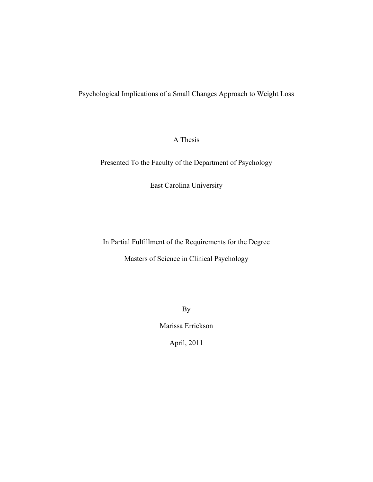## Psychological Implications of a Small Changes Approach to Weight Loss

## A Thesis

Presented To the Faculty of the Department of Psychology

East Carolina University

In Partial Fulfillment of the Requirements for the Degree

Masters of Science in Clinical Psychology

By

Marissa Errickson

April, 2011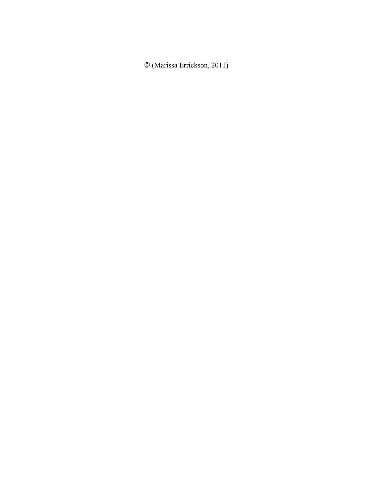© (Marissa Errickson, 2011)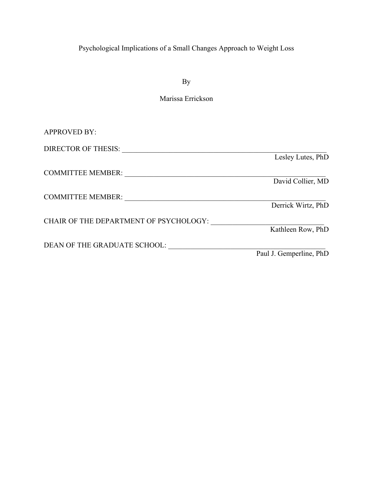# Psychological Implications of a Small Changes Approach to Weight Loss

By

# Marissa Errickson

| <b>APPROVED BY:</b>                    |                         |
|----------------------------------------|-------------------------|
| DIRECTOR OF THESIS:                    |                         |
|                                        | Lesley Lutes, PhD       |
| <b>COMMITTEE MEMBER:</b>               |                         |
|                                        | David Collier, MD       |
| <b>COMMITTEE MEMBER:</b>               |                         |
|                                        | Derrick Wirtz, PhD      |
| CHAIR OF THE DEPARTMENT OF PSYCHOLOGY: |                         |
|                                        | Kathleen Row, PhD       |
| DEAN OF THE GRADUATE SCHOOL:           |                         |
|                                        | Paul J. Gemperline, PhD |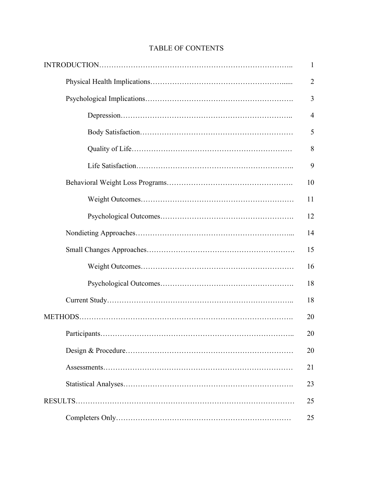| 1              |
|----------------|
| $\overline{2}$ |
| 3              |
| $\overline{4}$ |
| 5              |
| 8              |
| 9              |
| 10             |
| 11             |
| 12             |
| 14             |
| 15             |
| 16             |
| 18             |
| 18             |
| 20             |
| 20             |
| 20             |
| 21             |
| 23             |
| 25             |
| 25             |

# TABLE OF CONTENTS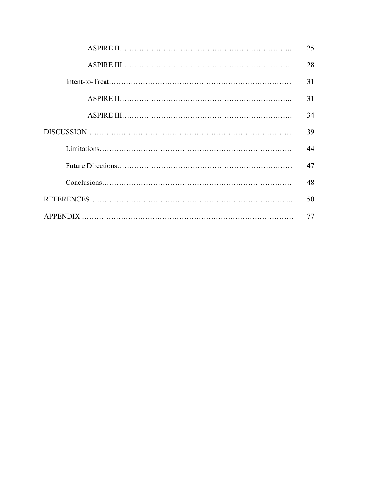| 25 |
|----|
| 28 |
| 31 |
| 31 |
| 34 |
| 39 |
| 44 |
| 47 |
| 48 |
| 50 |
| 77 |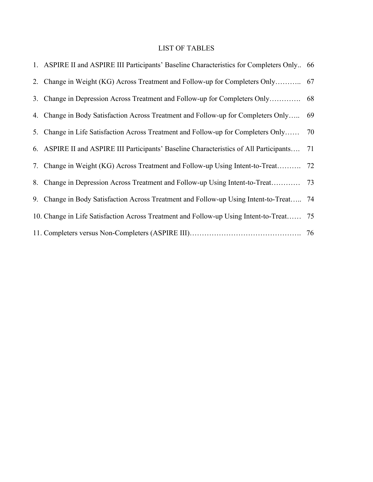# LIST OF TABLES

| 1. ASPIRE II and ASPIRE III Participants' Baseline Characteristics for Completers Only 66 |    |
|-------------------------------------------------------------------------------------------|----|
|                                                                                           |    |
|                                                                                           |    |
| 4. Change in Body Satisfaction Across Treatment and Follow-up for Completers Only         | 69 |
| 5. Change in Life Satisfaction Across Treatment and Follow-up for Completers Only 70      |    |
| 6. ASPIRE II and ASPIRE III Participants' Baseline Characteristics of All Participants    | 71 |
| 7. Change in Weight (KG) Across Treatment and Follow-up Using Intent-to-Treat             | 72 |
| 8. Change in Depression Across Treatment and Follow-up Using Intent-to-Treat              | 73 |
| 9. Change in Body Satisfaction Across Treatment and Follow-up Using Intent-to-Treat       | 74 |
| 10. Change in Life Satisfaction Across Treatment and Follow-up Using Intent-to-Treat 75   |    |
|                                                                                           |    |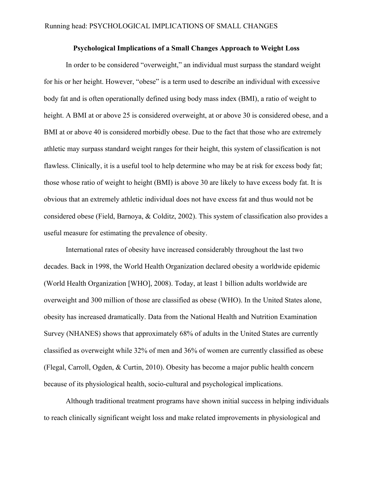#### **Psychological Implications of a Small Changes Approach to Weight Loss**

In order to be considered "overweight," an individual must surpass the standard weight for his or her height. However, "obese" is a term used to describe an individual with excessive body fat and is often operationally defined using body mass index (BMI), a ratio of weight to height. A BMI at or above 25 is considered overweight, at or above 30 is considered obese, and a BMI at or above 40 is considered morbidly obese. Due to the fact that those who are extremely athletic may surpass standard weight ranges for their height, this system of classification is not flawless. Clinically, it is a useful tool to help determine who may be at risk for excess body fat; those whose ratio of weight to height (BMI) is above 30 are likely to have excess body fat. It is obvious that an extremely athletic individual does not have excess fat and thus would not be considered obese (Field, Barnoya, & Colditz, 2002). This system of classification also provides a useful measure for estimating the prevalence of obesity.

International rates of obesity have increased considerably throughout the last two decades. Back in 1998, the World Health Organization declared obesity a worldwide epidemic (World Health Organization [WHO], 2008). Today, at least 1 billion adults worldwide are overweight and 300 million of those are classified as obese (WHO). In the United States alone, obesity has increased dramatically. Data from the National Health and Nutrition Examination Survey (NHANES) shows that approximately 68% of adults in the United States are currently classified as overweight while 32% of men and 36% of women are currently classified as obese (Flegal, Carroll, Ogden, & Curtin, 2010). Obesity has become a major public health concern because of its physiological health, socio-cultural and psychological implications.

Although traditional treatment programs have shown initial success in helping individuals to reach clinically significant weight loss and make related improvements in physiological and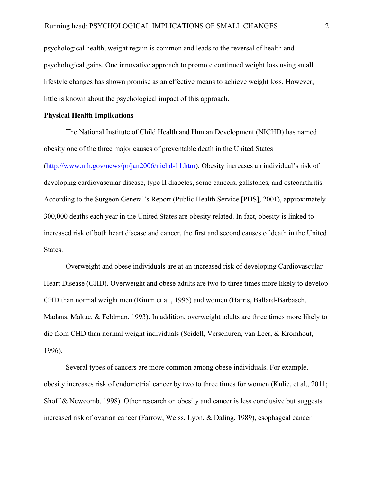psychological health, weight regain is common and leads to the reversal of health and psychological gains. One innovative approach to promote continued weight loss using small lifestyle changes has shown promise as an effective means to achieve weight loss. However, little is known about the psychological impact of this approach.

### **Physical Health Implications**

The National Institute of Child Health and Human Development (NICHD) has named obesity one of the three major causes of preventable death in the United States (http://www.nih.gov/news/pr/jan2006/nichd-11.htm). Obesity increases an individual's risk of developing cardiovascular disease, type II diabetes, some cancers, gallstones, and osteoarthritis. According to the Surgeon General's Report (Public Health Service [PHS], 2001), approximately 300,000 deaths each year in the United States are obesity related. In fact, obesity is linked to increased risk of both heart disease and cancer, the first and second causes of death in the United States.

Overweight and obese individuals are at an increased risk of developing Cardiovascular Heart Disease (CHD). Overweight and obese adults are two to three times more likely to develop CHD than normal weight men (Rimm et al., 1995) and women (Harris, Ballard-Barbasch, Madans, Makue, & Feldman, 1993). In addition, overweight adults are three times more likely to die from CHD than normal weight individuals (Seidell, Verschuren, van Leer, & Kromhout, 1996).

Several types of cancers are more common among obese individuals. For example, obesity increases risk of endometrial cancer by two to three times for women (Kulie, et al., 2011; Shoff & Newcomb, 1998). Other research on obesity and cancer is less conclusive but suggests increased risk of ovarian cancer (Farrow, Weiss, Lyon, & Daling, 1989), esophageal cancer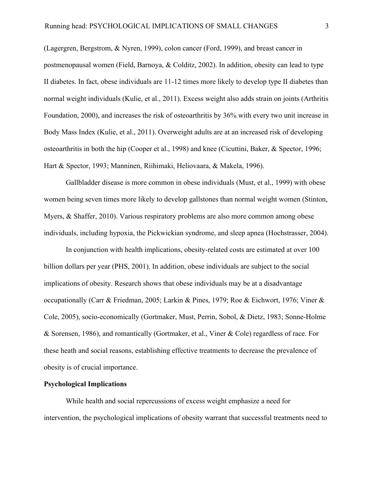(Lagergren, Bergstrom, & Nyren, 1999), colon cancer (Ford, 1999), and breast cancer in postmenopausal women (Field, Barnoya, & Colditz, 2002). In addition, obesity can lead to type II diabetes. In fact, obese individuals are 11-12 times more likely to develop type II diabetes than normal weight individuals (Kulie, et al., 2011). Excess weight also adds strain on joints (Arthritis Foundation, 2000), and increases the risk of osteoarthritis by 36% with every two unit increase in Body Mass Index (Kulie, et al., 2011). Overweight adults are at an increased risk of developing osteoarthritis in both the hip (Cooper et al., 1998) and knee (Cicuttini, Baker, & Spector, 1996; Hart & Spector, 1993; Manninen, Riihimaki, Heliovaara, & Makela, 1996).

Gallbladder disease is more common in obese individuals (Must, et al., 1999) with obese women being seven times more likely to develop gallstones than normal weight women (Stinton, Myers, & Shaffer, 2010). Various respiratory problems are also more common among obese individuals, including hypoxia, the Pickwickian syndrome, and sleep apnea (Hochstrasser, 2004).

In conjunction with health implications, obesity-related costs are estimated at over 100 billion dollars per year (PHS, 2001). In addition, obese individuals are subject to the social implications of obesity. Research shows that obese individuals may be at a disadvantage occupationally (Carr & Friedman, 2005; Larkin & Pines, 1979; Roe & Eichwort, 1976; Viner & Cole, 2005), socio-economically (Gortmaker, Must, Perrin, Sobol, & Dietz, 1983; Sonne-Holme & Sorensen, 1986), and romantically (Gortmaker, et al., Viner & Cole) regardless of race. For these heath and social reasons, establishing effective treatments to decrease the prevalence of obesity is of crucial importance.

#### **Psychological Implications**

While health and social repercussions of excess weight emphasize a need for intervention, the psychological implications of obesity warrant that successful treatments need to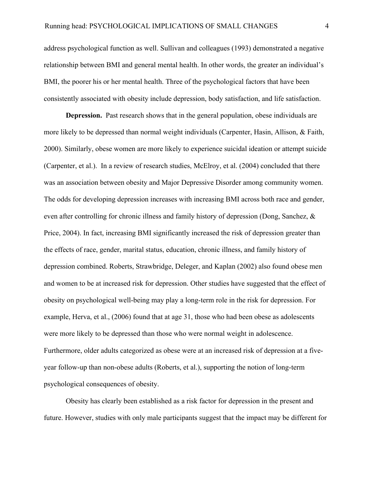address psychological function as well. Sullivan and colleagues (1993) demonstrated a negative relationship between BMI and general mental health. In other words, the greater an individual's BMI, the poorer his or her mental health. Three of the psychological factors that have been consistently associated with obesity include depression, body satisfaction, and life satisfaction.

**Depression.** Past research shows that in the general population, obese individuals are more likely to be depressed than normal weight individuals (Carpenter, Hasin, Allison, & Faith, 2000). Similarly, obese women are more likely to experience suicidal ideation or attempt suicide (Carpenter, et al.). In a review of research studies, McElroy, et al. (2004) concluded that there was an association between obesity and Major Depressive Disorder among community women. The odds for developing depression increases with increasing BMI across both race and gender, even after controlling for chronic illness and family history of depression (Dong, Sanchez, & Price, 2004). In fact, increasing BMI significantly increased the risk of depression greater than the effects of race, gender, marital status, education, chronic illness, and family history of depression combined. Roberts, Strawbridge, Deleger, and Kaplan (2002) also found obese men and women to be at increased risk for depression. Other studies have suggested that the effect of obesity on psychological well-being may play a long-term role in the risk for depression. For example, Herva, et al., (2006) found that at age 31, those who had been obese as adolescents were more likely to be depressed than those who were normal weight in adolescence. Furthermore, older adults categorized as obese were at an increased risk of depression at a fiveyear follow-up than non-obese adults (Roberts, et al.), supporting the notion of long-term psychological consequences of obesity.

Obesity has clearly been established as a risk factor for depression in the present and future. However, studies with only male participants suggest that the impact may be different for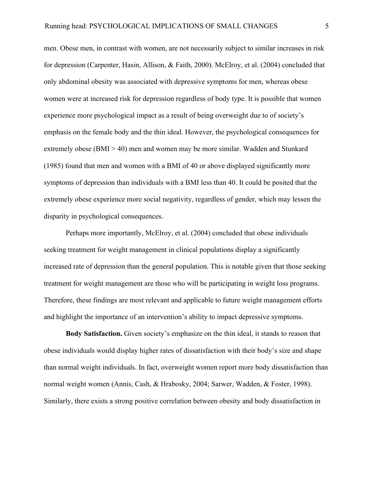men. Obese men, in contrast with women, are not necessarily subject to similar increases in risk for depression (Carpenter, Hasin, Allison, & Faith, 2000). McElroy, et al. (2004) concluded that only abdominal obesity was associated with depressive symptoms for men, whereas obese women were at increased risk for depression regardless of body type. It is possible that women experience more psychological impact as a result of being overweight due to of society's emphasis on the female body and the thin ideal. However, the psychological consequences for extremely obese ( $BMI > 40$ ) men and women may be more similar. Wadden and Stunkard (1985) found that men and women with a BMI of 40 or above displayed significantly more symptoms of depression than individuals with a BMI less than 40. It could be posited that the extremely obese experience more social negativity, regardless of gender, which may lessen the disparity in psychological consequences.

Perhaps more importantly, McElroy, et al. (2004) concluded that obese individuals seeking treatment for weight management in clinical populations display a significantly increased rate of depression than the general population. This is notable given that those seeking treatment for weight management are those who will be participating in weight loss programs. Therefore, these findings are most relevant and applicable to future weight management efforts and highlight the importance of an intervention's ability to impact depressive symptoms.

**Body Satisfaction.** Given society's emphasize on the thin ideal, it stands to reason that obese individuals would display higher rates of dissatisfaction with their body's size and shape than normal weight individuals. In fact, overweight women report more body dissatisfaction than normal weight women (Annis, Cash, & Hrabosky, 2004; Sarwer, Wadden, & Foster, 1998). Similarly, there exists a strong positive correlation between obesity and body dissatisfaction in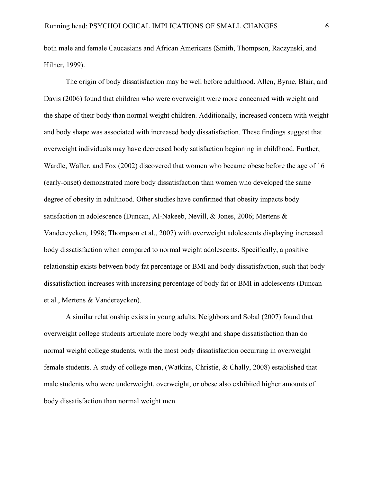both male and female Caucasians and African Americans (Smith, Thompson, Raczynski, and Hilner, 1999).

The origin of body dissatisfaction may be well before adulthood. Allen, Byrne, Blair, and Davis (2006) found that children who were overweight were more concerned with weight and the shape of their body than normal weight children. Additionally, increased concern with weight and body shape was associated with increased body dissatisfaction. These findings suggest that overweight individuals may have decreased body satisfaction beginning in childhood. Further, Wardle, Waller, and Fox (2002) discovered that women who became obese before the age of 16 (early-onset) demonstrated more body dissatisfaction than women who developed the same degree of obesity in adulthood. Other studies have confirmed that obesity impacts body satisfaction in adolescence (Duncan, Al-Nakeeb, Nevill, & Jones, 2006; Mertens & Vandereycken, 1998; Thompson et al., 2007) with overweight adolescents displaying increased body dissatisfaction when compared to normal weight adolescents. Specifically, a positive relationship exists between body fat percentage or BMI and body dissatisfaction, such that body dissatisfaction increases with increasing percentage of body fat or BMI in adolescents (Duncan et al., Mertens & Vandereycken).

A similar relationship exists in young adults. Neighbors and Sobal (2007) found that overweight college students articulate more body weight and shape dissatisfaction than do normal weight college students, with the most body dissatisfaction occurring in overweight female students. A study of college men, (Watkins, Christie, & Chally, 2008) established that male students who were underweight, overweight, or obese also exhibited higher amounts of body dissatisfaction than normal weight men.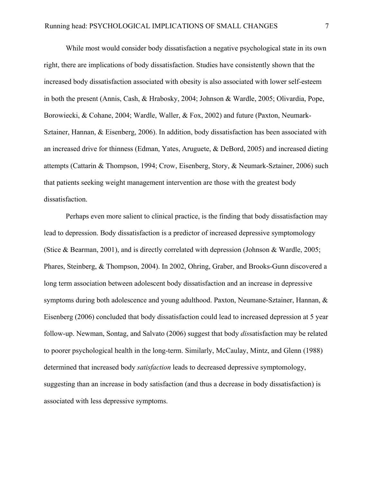While most would consider body dissatisfaction a negative psychological state in its own right, there are implications of body dissatisfaction. Studies have consistently shown that the increased body dissatisfaction associated with obesity is also associated with lower self-esteem in both the present (Annis, Cash, & Hrabosky, 2004; Johnson & Wardle, 2005; Olivardia, Pope, Borowiecki, & Cohane, 2004; Wardle, Waller, & Fox, 2002) and future (Paxton, Neumark-Sztainer, Hannan, & Eisenberg, 2006). In addition, body dissatisfaction has been associated with an increased drive for thinness (Edman, Yates, Aruguete, & DeBord, 2005) and increased dieting attempts (Cattarin & Thompson, 1994; Crow, Eisenberg, Story, & Neumark-Sztainer, 2006) such that patients seeking weight management intervention are those with the greatest body dissatisfaction.

Perhaps even more salient to clinical practice, is the finding that body dissatisfaction may lead to depression. Body dissatisfaction is a predictor of increased depressive symptomology (Stice & Bearman, 2001), and is directly correlated with depression (Johnson & Wardle, 2005; Phares, Steinberg, & Thompson, 2004). In 2002, Ohring, Graber, and Brooks-Gunn discovered a long term association between adolescent body dissatisfaction and an increase in depressive symptoms during both adolescence and young adulthood. Paxton, Neumane-Sztainer, Hannan, & Eisenberg (2006) concluded that body dissatisfaction could lead to increased depression at 5 year follow-up. Newman, Sontag, and Salvato (2006) suggest that body *dis*satisfaction may be related to poorer psychological health in the long-term. Similarly, McCaulay, Mintz, and Glenn (1988) determined that increased body *satisfaction* leads to decreased depressive symptomology, suggesting than an increase in body satisfaction (and thus a decrease in body dissatisfaction) is associated with less depressive symptoms.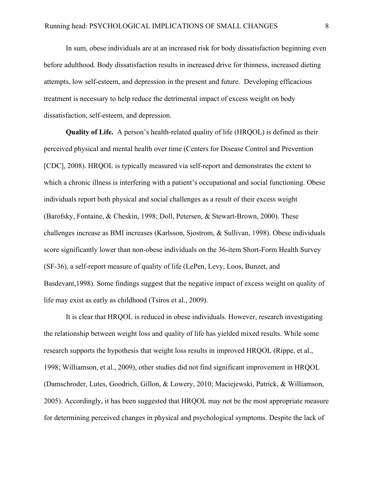In sum, obese individuals are at an increased risk for body dissatisfaction beginning even before adulthood. Body dissatisfaction results in increased drive for thinness, increased dieting attempts, low self-esteem, and depression in the present and future. Developing efficacious treatment is necessary to help reduce the detrimental impact of excess weight on body dissatisfaction, self-esteem, and depression.

**Quality of Life.** A person's health-related quality of life (HRQOL) is defined as their perceived physical and mental health over time (Centers for Disease Control and Prevention [CDC], 2008). HRQOL is typically measured via self-report and demonstrates the extent to which a chronic illness is interfering with a patient's occupational and social functioning. Obese individuals report both physical and social challenges as a result of their excess weight (Barofsky, Fontaine, & Cheskin, 1998; Doll, Petersen, & Stewart-Brown, 2000). These challenges increase as BMI increases (Karlsson, Sjostrom, & Sullivan, 1998). Obese individuals score significantly lower than non-obese individuals on the 36-item Short-Form Health Survey (SF-36), a self-report measure of quality of life (LePen, Levy, Loos, Bunzet, and Basdevant,1998). Some findings suggest that the negative impact of excess weight on quality of life may exist as early as childhood (Tsiros et al., 2009).

It is clear that HRQOL is reduced in obese individuals. However, research investigating the relationship between weight loss and quality of life has yielded mixed results. While some research supports the hypothesis that weight loss results in improved HRQOL (Rippe, et al., 1998; Williamson, et al., 2009), other studies did not find significant improvement in HRQOL (Damschroder, Lutes, Goodrich, Gillon, & Lowery, 2010; Maciejewski, Patrick, & Williamson, 2005). Accordingly, it has been suggested that HRQOL may not be the most appropriate measure for determining perceived changes in physical and psychological symptoms. Despite the lack of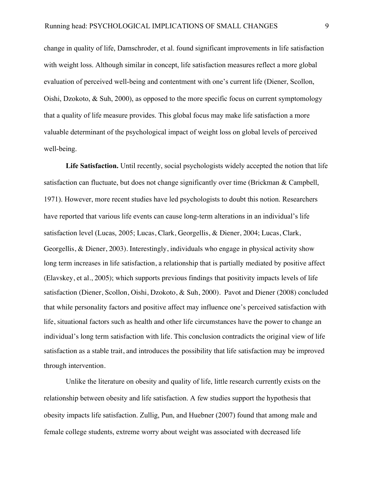change in quality of life, Damschroder, et al. found significant improvements in life satisfaction with weight loss. Although similar in concept, life satisfaction measures reflect a more global evaluation of perceived well-being and contentment with one's current life (Diener, Scollon, Oishi, Dzokoto, & Suh, 2000), as opposed to the more specific focus on current symptomology that a quality of life measure provides. This global focus may make life satisfaction a more valuable determinant of the psychological impact of weight loss on global levels of perceived well-being.

**Life Satisfaction.** Until recently, social psychologists widely accepted the notion that life satisfaction can fluctuate, but does not change significantly over time (Brickman & Campbell, 1971). However, more recent studies have led psychologists to doubt this notion. Researchers have reported that various life events can cause long-term alterations in an individual's life satisfaction level (Lucas, 2005; Lucas, Clark, Georgellis, & Diener, 2004; Lucas, Clark, Georgellis, & Diener, 2003). Interestingly, individuals who engage in physical activity show long term increases in life satisfaction, a relationship that is partially mediated by positive affect (Elavskey, et al., 2005); which supports previous findings that positivity impacts levels of life satisfaction (Diener, Scollon, Oishi, Dzokoto, & Suh, 2000). Pavot and Diener (2008) concluded that while personality factors and positive affect may influence one's perceived satisfaction with life, situational factors such as health and other life circumstances have the power to change an individual's long term satisfaction with life. This conclusion contradicts the original view of life satisfaction as a stable trait, and introduces the possibility that life satisfaction may be improved through intervention.

Unlike the literature on obesity and quality of life, little research currently exists on the relationship between obesity and life satisfaction. A few studies support the hypothesis that obesity impacts life satisfaction. Zullig, Pun, and Huebner (2007) found that among male and female college students, extreme worry about weight was associated with decreased life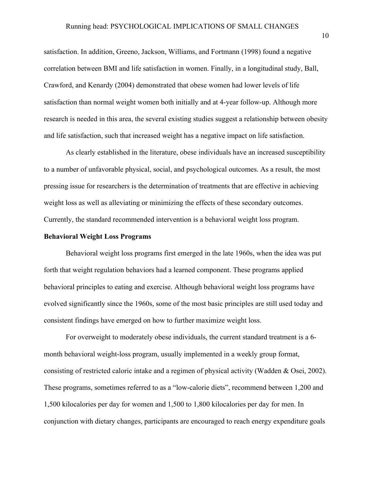satisfaction. In addition, Greeno, Jackson, Williams, and Fortmann (1998) found a negative correlation between BMI and life satisfaction in women. Finally, in a longitudinal study, Ball, Crawford, and Kenardy (2004) demonstrated that obese women had lower levels of life satisfaction than normal weight women both initially and at 4-year follow-up. Although more research is needed in this area, the several existing studies suggest a relationship between obesity and life satisfaction, such that increased weight has a negative impact on life satisfaction.

As clearly established in the literature, obese individuals have an increased susceptibility to a number of unfavorable physical, social, and psychological outcomes. As a result, the most pressing issue for researchers is the determination of treatments that are effective in achieving weight loss as well as alleviating or minimizing the effects of these secondary outcomes. Currently, the standard recommended intervention is a behavioral weight loss program.

#### **Behavioral Weight Loss Programs**

Behavioral weight loss programs first emerged in the late 1960s, when the idea was put forth that weight regulation behaviors had a learned component. These programs applied behavioral principles to eating and exercise. Although behavioral weight loss programs have evolved significantly since the 1960s, some of the most basic principles are still used today and consistent findings have emerged on how to further maximize weight loss.

For overweight to moderately obese individuals, the current standard treatment is a 6 month behavioral weight-loss program, usually implemented in a weekly group format, consisting of restricted caloric intake and a regimen of physical activity (Wadden & Osei, 2002). These programs, sometimes referred to as a "low-calorie diets", recommend between 1,200 and 1,500 kilocalories per day for women and 1,500 to 1,800 kilocalories per day for men. In conjunction with dietary changes, participants are encouraged to reach energy expenditure goals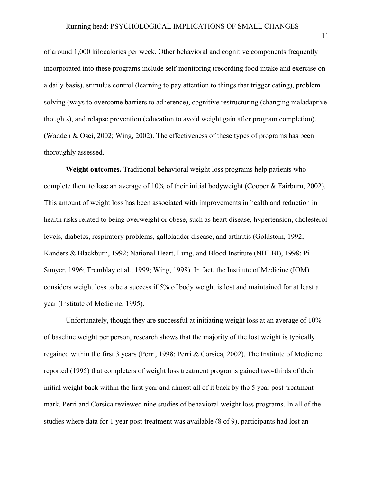of around 1,000 kilocalories per week. Other behavioral and cognitive components frequently incorporated into these programs include self-monitoring (recording food intake and exercise on a daily basis), stimulus control (learning to pay attention to things that trigger eating), problem solving (ways to overcome barriers to adherence), cognitive restructuring (changing maladaptive thoughts), and relapse prevention (education to avoid weight gain after program completion). (Wadden & Osei, 2002; Wing, 2002). The effectiveness of these types of programs has been thoroughly assessed.

**Weight outcomes.** Traditional behavioral weight loss programs help patients who complete them to lose an average of 10% of their initial bodyweight (Cooper & Fairburn, 2002). This amount of weight loss has been associated with improvements in health and reduction in health risks related to being overweight or obese, such as heart disease, hypertension, cholesterol levels, diabetes, respiratory problems, gallbladder disease, and arthritis (Goldstein, 1992; Kanders & Blackburn, 1992; National Heart, Lung, and Blood Institute (NHLBI), 1998; Pi-Sunyer, 1996; Tremblay et al., 1999; Wing, 1998). In fact, the Institute of Medicine (IOM) considers weight loss to be a success if 5% of body weight is lost and maintained for at least a year (Institute of Medicine, 1995).

Unfortunately, though they are successful at initiating weight loss at an average of 10% of baseline weight per person, research shows that the majority of the lost weight is typically regained within the first 3 years (Perri, 1998; Perri & Corsica, 2002). The Institute of Medicine reported (1995) that completers of weight loss treatment programs gained two-thirds of their initial weight back within the first year and almost all of it back by the 5 year post-treatment mark. Perri and Corsica reviewed nine studies of behavioral weight loss programs. In all of the studies where data for 1 year post-treatment was available (8 of 9), participants had lost an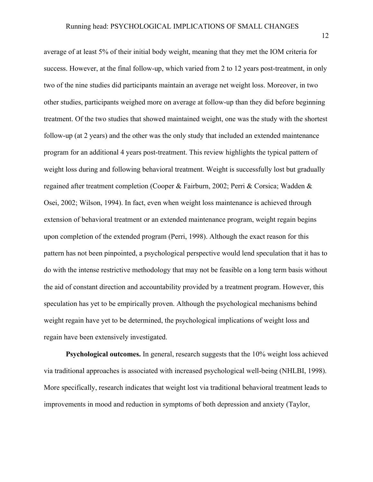average of at least 5% of their initial body weight, meaning that they met the IOM criteria for success. However, at the final follow-up, which varied from 2 to 12 years post-treatment, in only two of the nine studies did participants maintain an average net weight loss. Moreover, in two other studies, participants weighed more on average at follow-up than they did before beginning treatment. Of the two studies that showed maintained weight, one was the study with the shortest follow-up (at 2 years) and the other was the only study that included an extended maintenance program for an additional 4 years post-treatment. This review highlights the typical pattern of weight loss during and following behavioral treatment. Weight is successfully lost but gradually regained after treatment completion (Cooper & Fairburn, 2002; Perri & Corsica; Wadden & Osei, 2002; Wilson, 1994). In fact, even when weight loss maintenance is achieved through extension of behavioral treatment or an extended maintenance program, weight regain begins upon completion of the extended program (Perri, 1998). Although the exact reason for this pattern has not been pinpointed, a psychological perspective would lend speculation that it has to do with the intense restrictive methodology that may not be feasible on a long term basis without the aid of constant direction and accountability provided by a treatment program. However, this speculation has yet to be empirically proven. Although the psychological mechanisms behind weight regain have yet to be determined, the psychological implications of weight loss and regain have been extensively investigated.

**Psychological outcomes.** In general, research suggests that the 10% weight loss achieved via traditional approaches is associated with increased psychological well-being (NHLBI, 1998). More specifically, research indicates that weight lost via traditional behavioral treatment leads to improvements in mood and reduction in symptoms of both depression and anxiety (Taylor,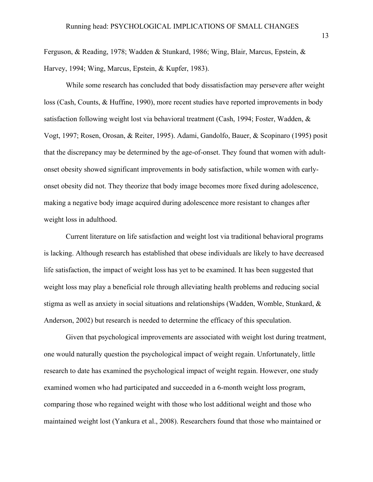Ferguson, & Reading, 1978; Wadden & Stunkard, 1986; Wing, Blair, Marcus, Epstein, & Harvey, 1994; Wing, Marcus, Epstein, & Kupfer, 1983).

While some research has concluded that body dissatisfaction may persevere after weight loss (Cash, Counts, & Huffine, 1990), more recent studies have reported improvements in body satisfaction following weight lost via behavioral treatment (Cash, 1994; Foster, Wadden, & Vogt, 1997; Rosen, Orosan, & Reiter, 1995). Adami, Gandolfo, Bauer, & Scopinaro (1995) posit that the discrepancy may be determined by the age-of-onset. They found that women with adultonset obesity showed significant improvements in body satisfaction, while women with earlyonset obesity did not. They theorize that body image becomes more fixed during adolescence, making a negative body image acquired during adolescence more resistant to changes after weight loss in adulthood.

Current literature on life satisfaction and weight lost via traditional behavioral programs is lacking. Although research has established that obese individuals are likely to have decreased life satisfaction, the impact of weight loss has yet to be examined. It has been suggested that weight loss may play a beneficial role through alleviating health problems and reducing social stigma as well as anxiety in social situations and relationships (Wadden, Womble, Stunkard, & Anderson, 2002) but research is needed to determine the efficacy of this speculation.

Given that psychological improvements are associated with weight lost during treatment, one would naturally question the psychological impact of weight regain. Unfortunately, little research to date has examined the psychological impact of weight regain. However, one study examined women who had participated and succeeded in a 6-month weight loss program, comparing those who regained weight with those who lost additional weight and those who maintained weight lost (Yankura et al., 2008). Researchers found that those who maintained or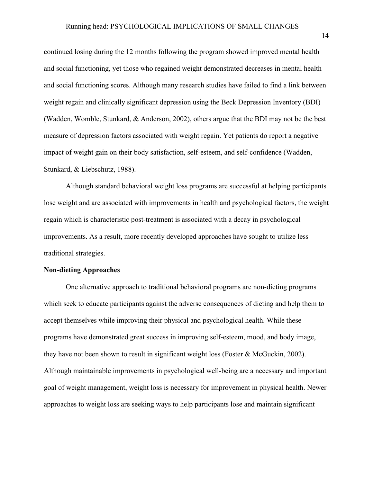continued losing during the 12 months following the program showed improved mental health and social functioning, yet those who regained weight demonstrated decreases in mental health and social functioning scores. Although many research studies have failed to find a link between weight regain and clinically significant depression using the Beck Depression Inventory (BDI) (Wadden, Womble, Stunkard, & Anderson, 2002), others argue that the BDI may not be the best measure of depression factors associated with weight regain. Yet patients do report a negative impact of weight gain on their body satisfaction, self-esteem, and self-confidence (Wadden, Stunkard, & Liebschutz, 1988).

Although standard behavioral weight loss programs are successful at helping participants lose weight and are associated with improvements in health and psychological factors, the weight regain which is characteristic post-treatment is associated with a decay in psychological improvements. As a result, more recently developed approaches have sought to utilize less traditional strategies.

#### **Non-dieting Approaches**

One alternative approach to traditional behavioral programs are non-dieting programs which seek to educate participants against the adverse consequences of dieting and help them to accept themselves while improving their physical and psychological health. While these programs have demonstrated great success in improving self-esteem, mood, and body image, they have not been shown to result in significant weight loss (Foster & McGuckin, 2002). Although maintainable improvements in psychological well-being are a necessary and important goal of weight management, weight loss is necessary for improvement in physical health. Newer approaches to weight loss are seeking ways to help participants lose and maintain significant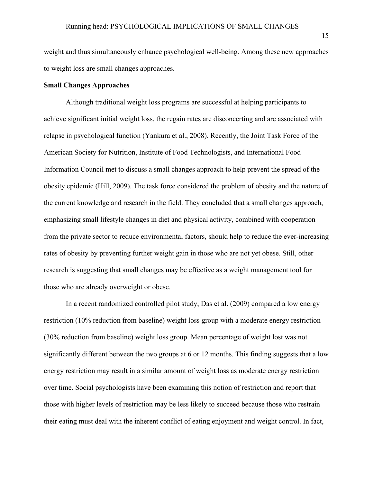weight and thus simultaneously enhance psychological well-being. Among these new approaches to weight loss are small changes approaches.

### **Small Changes Approaches**

Although traditional weight loss programs are successful at helping participants to achieve significant initial weight loss, the regain rates are disconcerting and are associated with relapse in psychological function (Yankura et al., 2008). Recently, the Joint Task Force of the American Society for Nutrition, Institute of Food Technologists, and International Food Information Council met to discuss a small changes approach to help prevent the spread of the obesity epidemic (Hill, 2009). The task force considered the problem of obesity and the nature of the current knowledge and research in the field. They concluded that a small changes approach, emphasizing small lifestyle changes in diet and physical activity, combined with cooperation from the private sector to reduce environmental factors, should help to reduce the ever-increasing rates of obesity by preventing further weight gain in those who are not yet obese. Still, other research is suggesting that small changes may be effective as a weight management tool for those who are already overweight or obese.

In a recent randomized controlled pilot study, Das et al. (2009) compared a low energy restriction (10% reduction from baseline) weight loss group with a moderate energy restriction (30% reduction from baseline) weight loss group. Mean percentage of weight lost was not significantly different between the two groups at 6 or 12 months. This finding suggests that a low energy restriction may result in a similar amount of weight loss as moderate energy restriction over time. Social psychologists have been examining this notion of restriction and report that those with higher levels of restriction may be less likely to succeed because those who restrain their eating must deal with the inherent conflict of eating enjoyment and weight control. In fact,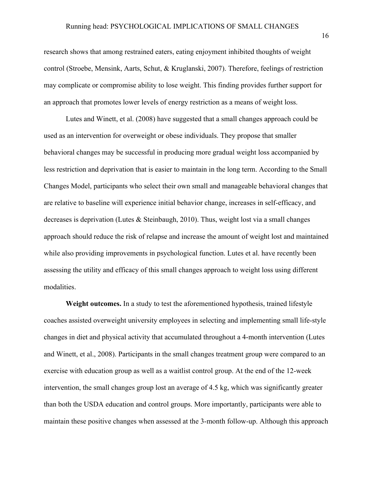research shows that among restrained eaters, eating enjoyment inhibited thoughts of weight control (Stroebe, Mensink, Aarts, Schut, & Kruglanski, 2007). Therefore, feelings of restriction may complicate or compromise ability to lose weight. This finding provides further support for an approach that promotes lower levels of energy restriction as a means of weight loss.

Lutes and Winett, et al. (2008) have suggested that a small changes approach could be used as an intervention for overweight or obese individuals. They propose that smaller behavioral changes may be successful in producing more gradual weight loss accompanied by less restriction and deprivation that is easier to maintain in the long term. According to the Small Changes Model, participants who select their own small and manageable behavioral changes that are relative to baseline will experience initial behavior change, increases in self-efficacy, and decreases is deprivation (Lutes & Steinbaugh, 2010). Thus, weight lost via a small changes approach should reduce the risk of relapse and increase the amount of weight lost and maintained while also providing improvements in psychological function. Lutes et al. have recently been assessing the utility and efficacy of this small changes approach to weight loss using different modalities.

**Weight outcomes.** In a study to test the aforementioned hypothesis, trained lifestyle coaches assisted overweight university employees in selecting and implementing small life-style changes in diet and physical activity that accumulated throughout a 4-month intervention (Lutes and Winett, et al., 2008). Participants in the small changes treatment group were compared to an exercise with education group as well as a waitlist control group. At the end of the 12-week intervention, the small changes group lost an average of 4.5 kg, which was significantly greater than both the USDA education and control groups. More importantly, participants were able to maintain these positive changes when assessed at the 3-month follow-up. Although this approach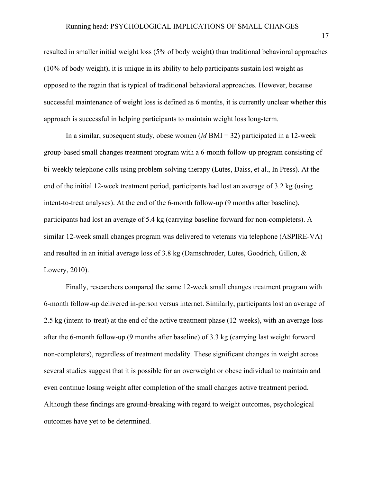resulted in smaller initial weight loss (5% of body weight) than traditional behavioral approaches (10% of body weight), it is unique in its ability to help participants sustain lost weight as opposed to the regain that is typical of traditional behavioral approaches. However, because successful maintenance of weight loss is defined as 6 months, it is currently unclear whether this approach is successful in helping participants to maintain weight loss long-term.

In a similar, subsequent study, obese women (*M* BMI = 32) participated in a 12-week group-based small changes treatment program with a 6-month follow-up program consisting of bi-weekly telephone calls using problem-solving therapy (Lutes, Daiss, et al., In Press). At the end of the initial 12-week treatment period, participants had lost an average of 3.2 kg (using intent-to-treat analyses). At the end of the 6-month follow-up (9 months after baseline), participants had lost an average of 5.4 kg (carrying baseline forward for non-completers). A similar 12-week small changes program was delivered to veterans via telephone (ASPIRE-VA) and resulted in an initial average loss of 3.8 kg (Damschroder, Lutes, Goodrich, Gillon, & Lowery, 2010).

Finally, researchers compared the same 12-week small changes treatment program with 6-month follow-up delivered in-person versus internet. Similarly, participants lost an average of 2.5 kg (intent-to-treat) at the end of the active treatment phase (12-weeks), with an average loss after the 6-month follow-up (9 months after baseline) of 3.3 kg (carrying last weight forward non-completers), regardless of treatment modality. These significant changes in weight across several studies suggest that it is possible for an overweight or obese individual to maintain and even continue losing weight after completion of the small changes active treatment period. Although these findings are ground-breaking with regard to weight outcomes, psychological outcomes have yet to be determined.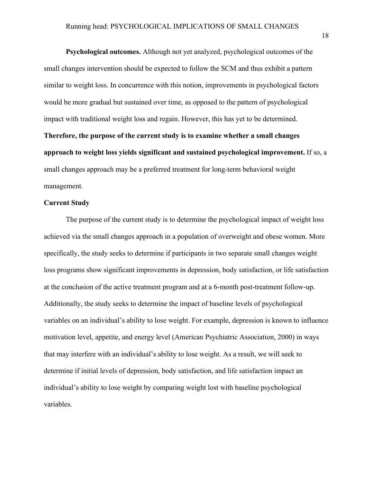**Psychological outcomes.** Although not yet analyzed, psychological outcomes of the small changes intervention should be expected to follow the SCM and thus exhibit a pattern similar to weight loss. In concurrence with this notion, improvements in psychological factors would be more gradual but sustained over time, as opposed to the pattern of psychological impact with traditional weight loss and regain. However, this has yet to be determined. **Therefore, the purpose of the current study is to examine whether a small changes approach to weight loss yields significant and sustained psychological improvement.** If so, a small changes approach may be a preferred treatment for long-term behavioral weight management.

### **Current Study**

The purpose of the current study is to determine the psychological impact of weight loss achieved via the small changes approach in a population of overweight and obese women. More specifically, the study seeks to determine if participants in two separate small changes weight loss programs show significant improvements in depression, body satisfaction, or life satisfaction at the conclusion of the active treatment program and at a 6-month post-treatment follow-up. Additionally, the study seeks to determine the impact of baseline levels of psychological variables on an individual's ability to lose weight. For example, depression is known to influence motivation level, appetite, and energy level (American Psychiatric Association, 2000) in ways that may interfere with an individual's ability to lose weight. As a result, we will seek to determine if initial levels of depression, body satisfaction, and life satisfaction impact an individual's ability to lose weight by comparing weight lost with baseline psychological variables.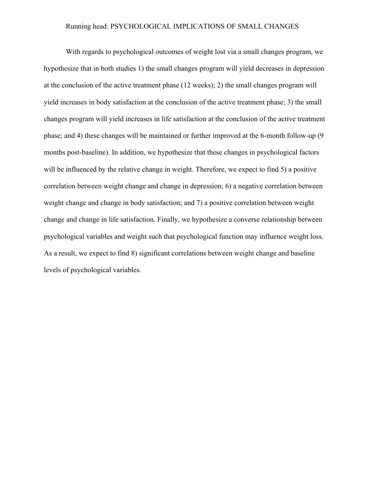#### Running head: PSYCHOLOGICAL IMPLICATIONS OF SMALL CHANGES

With regards to psychological outcomes of weight lost via a small changes program, we hypothesize that in both studies 1) the small changes program will yield decreases in depression at the conclusion of the active treatment phase (12 weeks); 2) the small changes program will yield increases in body satisfaction at the conclusion of the active treatment phase; 3) the small changes program will yield increases in life satisfaction at the conclusion of the active treatment phase; and 4) these changes will be maintained or further improved at the 6-month follow-up (9 months post-baseline). In addition, we hypothesize that these changes in psychological factors will be influenced by the relative change in weight. Therefore, we expect to find 5) a positive correlation between weight change and change in depression; 6) a negative correlation between weight change and change in body satisfaction; and 7) a positive correlation between weight change and change in life satisfaction. Finally, we hypothesize a converse relationship between psychological variables and weight such that psychological function may influence weight loss. As a result, we expect to find 8) significant correlations between weight change and baseline levels of psychological variables.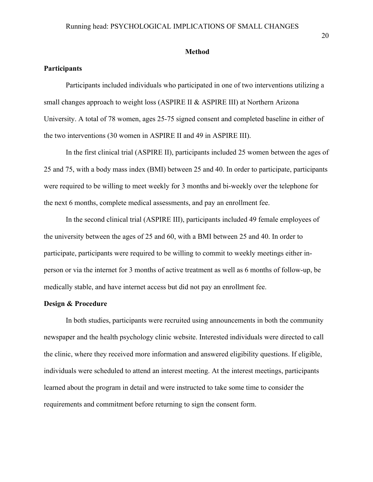#### **Method**

### **Participants**

Participants included individuals who participated in one of two interventions utilizing a small changes approach to weight loss (ASPIRE II & ASPIRE III) at Northern Arizona University. A total of 78 women, ages 25-75 signed consent and completed baseline in either of the two interventions (30 women in ASPIRE II and 49 in ASPIRE III).

In the first clinical trial (ASPIRE II), participants included 25 women between the ages of 25 and 75, with a body mass index (BMI) between 25 and 40. In order to participate, participants were required to be willing to meet weekly for 3 months and bi-weekly over the telephone for the next 6 months, complete medical assessments, and pay an enrollment fee.

In the second clinical trial (ASPIRE III), participants included 49 female employees of the university between the ages of 25 and 60, with a BMI between 25 and 40. In order to participate, participants were required to be willing to commit to weekly meetings either inperson or via the internet for 3 months of active treatment as well as 6 months of follow-up, be medically stable, and have internet access but did not pay an enrollment fee.

#### **Design & Procedure**

In both studies, participants were recruited using announcements in both the community newspaper and the health psychology clinic website. Interested individuals were directed to call the clinic, where they received more information and answered eligibility questions. If eligible, individuals were scheduled to attend an interest meeting. At the interest meetings, participants learned about the program in detail and were instructed to take some time to consider the requirements and commitment before returning to sign the consent form.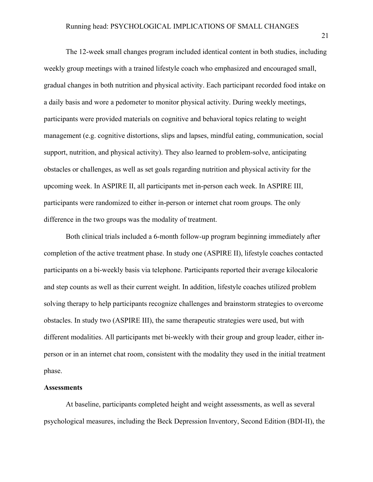The 12-week small changes program included identical content in both studies, including weekly group meetings with a trained lifestyle coach who emphasized and encouraged small, gradual changes in both nutrition and physical activity. Each participant recorded food intake on a daily basis and wore a pedometer to monitor physical activity. During weekly meetings, participants were provided materials on cognitive and behavioral topics relating to weight management (e.g. cognitive distortions, slips and lapses, mindful eating, communication, social support, nutrition, and physical activity). They also learned to problem-solve, anticipating obstacles or challenges, as well as set goals regarding nutrition and physical activity for the upcoming week. In ASPIRE II, all participants met in-person each week. In ASPIRE III, participants were randomized to either in-person or internet chat room groups. The only difference in the two groups was the modality of treatment.

Both clinical trials included a 6-month follow-up program beginning immediately after completion of the active treatment phase. In study one (ASPIRE II), lifestyle coaches contacted participants on a bi-weekly basis via telephone. Participants reported their average kilocalorie and step counts as well as their current weight. In addition, lifestyle coaches utilized problem solving therapy to help participants recognize challenges and brainstorm strategies to overcome obstacles. In study two (ASPIRE III), the same therapeutic strategies were used, but with different modalities. All participants met bi-weekly with their group and group leader, either inperson or in an internet chat room, consistent with the modality they used in the initial treatment phase.

#### **Assessments**

At baseline, participants completed height and weight assessments, as well as several psychological measures, including the Beck Depression Inventory, Second Edition (BDI-II), the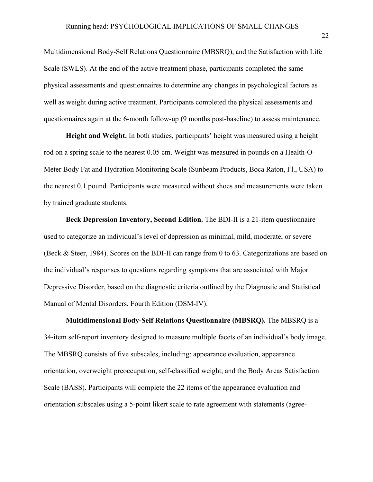Multidimensional Body-Self Relations Questionnaire (MBSRQ), and the Satisfaction with Life Scale (SWLS). At the end of the active treatment phase, participants completed the same physical assessments and questionnaires to determine any changes in psychological factors as well as weight during active treatment. Participants completed the physical assessments and questionnaires again at the 6-month follow-up (9 months post-baseline) to assess maintenance.

**Height and Weight.** In both studies, participants' height was measured using a height rod on a spring scale to the nearest 0.05 cm. Weight was measured in pounds on a Health-O-Meter Body Fat and Hydration Monitoring Scale (Sunbeam Products, Boca Raton, Fl., USA) to the nearest 0.1 pound. Participants were measured without shoes and measurements were taken by trained graduate students.

**Beck Depression Inventory, Second Edition.** The BDI-II is a 21-item questionnaire used to categorize an individual's level of depression as minimal, mild, moderate, or severe (Beck & Steer, 1984). Scores on the BDI-II can range from 0 to 63. Categorizations are based on the individual's responses to questions regarding symptoms that are associated with Major Depressive Disorder, based on the diagnostic criteria outlined by the Diagnostic and Statistical Manual of Mental Disorders, Fourth Edition (DSM-IV).

**Multidimensional Body-Self Relations Questionnaire (MBSRQ).** The MBSRQ is a 34-item self-report inventory designed to measure multiple facets of an individual's body image. The MBSRQ consists of five subscales, including: appearance evaluation, appearance orientation, overweight preoccupation, self-classified weight, and the Body Areas Satisfaction Scale (BASS). Participants will complete the 22 items of the appearance evaluation and orientation subscales using a 5-point likert scale to rate agreement with statements (agree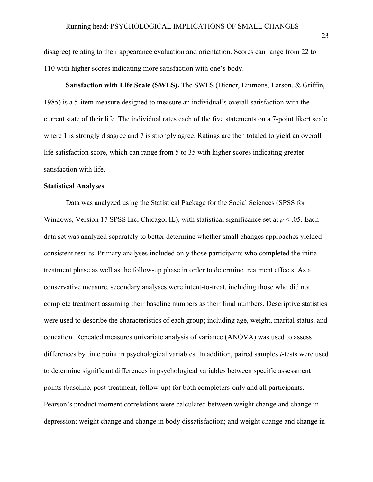disagree) relating to their appearance evaluation and orientation. Scores can range from 22 to 110 with higher scores indicating more satisfaction with one's body.

**Satisfaction with Life Scale (SWLS).** The SWLS (Diener, Emmons, Larson, & Griffin, 1985) is a 5-item measure designed to measure an individual's overall satisfaction with the current state of their life. The individual rates each of the five statements on a 7-point likert scale where 1 is strongly disagree and 7 is strongly agree. Ratings are then totaled to yield an overall life satisfaction score, which can range from 5 to 35 with higher scores indicating greater satisfaction with life.

#### **Statistical Analyses**

Data was analyzed using the Statistical Package for the Social Sciences (SPSS for Windows, Version 17 SPSS Inc, Chicago, IL), with statistical significance set at *p* < .05. Each data set was analyzed separately to better determine whether small changes approaches yielded consistent results. Primary analyses included only those participants who completed the initial treatment phase as well as the follow-up phase in order to determine treatment effects. As a conservative measure, secondary analyses were intent-to-treat, including those who did not complete treatment assuming their baseline numbers as their final numbers. Descriptive statistics were used to describe the characteristics of each group; including age, weight, marital status, and education. Repeated measures univariate analysis of variance (ANOVA) was used to assess differences by time point in psychological variables. In addition, paired samples *t*-tests were used to determine significant differences in psychological variables between specific assessment points (baseline, post-treatment, follow-up) for both completers-only and all participants. Pearson's product moment correlations were calculated between weight change and change in depression; weight change and change in body dissatisfaction; and weight change and change in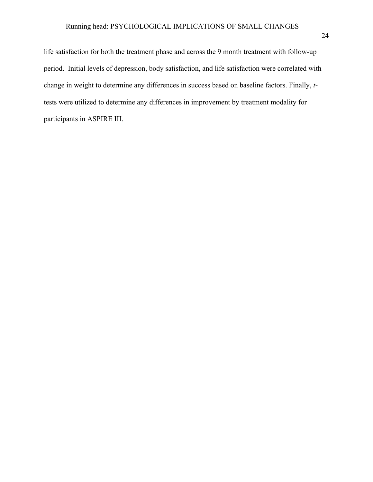life satisfaction for both the treatment phase and across the 9 month treatment with follow-up period. Initial levels of depression, body satisfaction, and life satisfaction were correlated with change in weight to determine any differences in success based on baseline factors. Finally, *t*tests were utilized to determine any differences in improvement by treatment modality for participants in ASPIRE III.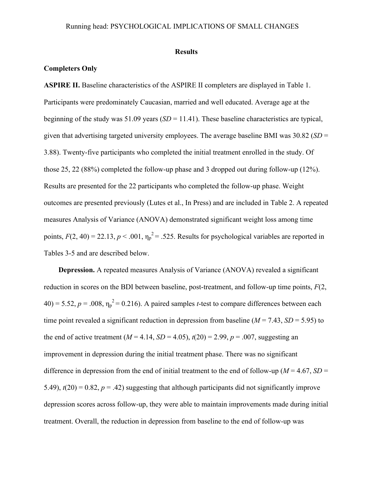#### **Results**

### **Completers Only**

**ASPIRE II.** Baseline characteristics of the ASPIRE II completers are displayed in Table 1. Participants were predominately Caucasian, married and well educated. Average age at the beginning of the study was  $51.09$  years  $(SD = 11.41)$ . These baseline characteristics are typical, given that advertising targeted university employees. The average baseline BMI was 30.82 (*SD* = 3.88). Twenty-five participants who completed the initial treatment enrolled in the study. Of those 25, 22 (88%) completed the follow-up phase and 3 dropped out during follow-up (12%). Results are presented for the 22 participants who completed the follow-up phase. Weight outcomes are presented previously (Lutes et al., In Press) and are included in Table 2. A repeated measures Analysis of Variance (ANOVA) demonstrated significant weight loss among time points,  $F(2, 40) = 22.13$ ,  $p < .001$ ,  $\eta_p^2 = .525$ . Results for psychological variables are reported in Tables 3-5 and are described below.

**Depression.** A repeated measures Analysis of Variance (ANOVA) revealed a significant reduction in scores on the BDI between baseline, post-treatment, and follow-up time points, *F*(2,  $40$ ) = 5.52,  $p = .008$ ,  $\eta_p^2 = 0.216$ ). A paired samples *t*-test to compare differences between each time point revealed a significant reduction in depression from baseline  $(M = 7.43, SD = 5.95)$  to the end of active treatment ( $M = 4.14$ ,  $SD = 4.05$ ),  $t(20) = 2.99$ ,  $p = .007$ , suggesting an improvement in depression during the initial treatment phase. There was no significant difference in depression from the end of initial treatment to the end of follow-up ( $M = 4.67$ ,  $SD =$ 5.49),  $t(20) = 0.82$ ,  $p = .42$ ) suggesting that although participants did not significantly improve depression scores across follow-up, they were able to maintain improvements made during initial treatment. Overall, the reduction in depression from baseline to the end of follow-up was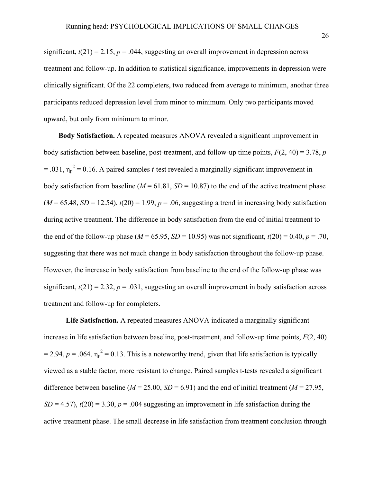significant,  $t(21) = 2.15$ ,  $p = .044$ , suggesting an overall improvement in depression across treatment and follow-up. In addition to statistical significance, improvements in depression were clinically significant. Of the 22 completers, two reduced from average to minimum, another three participants reduced depression level from minor to minimum. Only two participants moved upward, but only from minimum to minor.

**Body Satisfaction.** A repeated measures ANOVA revealed a significant improvement in body satisfaction between baseline, post-treatment, and follow-up time points, *F*(2, 40) = 3.78, *p*  $= .031$ ,  $\eta_p^2 = 0.16$ . A paired samples *t*-test revealed a marginally significant improvement in body satisfaction from baseline ( $M = 61.81$ ,  $SD = 10.87$ ) to the end of the active treatment phase  $(M = 65.48, SD = 12.54)$ ,  $t(20) = 1.99$ ,  $p = .06$ , suggesting a trend in increasing body satisfaction during active treatment. The difference in body satisfaction from the end of initial treatment to the end of the follow-up phase ( $M = 65.95$ ,  $SD = 10.95$ ) was not significant,  $t(20) = 0.40$ ,  $p = .70$ , suggesting that there was not much change in body satisfaction throughout the follow-up phase. However, the increase in body satisfaction from baseline to the end of the follow-up phase was significant,  $t(21) = 2.32$ ,  $p = .031$ , suggesting an overall improvement in body satisfaction across treatment and follow-up for completers.

**Life Satisfaction.** A repeated measures ANOVA indicated a marginally significant increase in life satisfaction between baseline, post-treatment, and follow-up time points,  $F(2, 40)$  $= 2.94$ ,  $p = .064$ ,  $\eta_p^2 = 0.13$ . This is a noteworthy trend, given that life satisfaction is typically viewed as a stable factor, more resistant to change. Paired samples t-tests revealed a significant difference between baseline ( $M = 25.00$ ,  $SD = 6.91$ ) and the end of initial treatment ( $M = 27.95$ ,  $SD = 4.57$ ,  $t(20) = 3.30$ ,  $p = .004$  suggesting an improvement in life satisfaction during the active treatment phase. The small decrease in life satisfaction from treatment conclusion through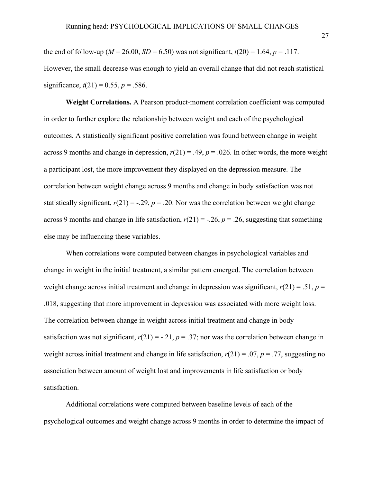the end of follow-up ( $M = 26.00$ ,  $SD = 6.50$ ) was not significant,  $t(20) = 1.64$ ,  $p = .117$ . However, the small decrease was enough to yield an overall change that did not reach statistical significance,  $t(21) = 0.55$ ,  $p = .586$ .

**Weight Correlations.** A Pearson product-moment correlation coefficient was computed in order to further explore the relationship between weight and each of the psychological outcomes. A statistically significant positive correlation was found between change in weight across 9 months and change in depression,  $r(21) = .49$ ,  $p = .026$ . In other words, the more weight a participant lost, the more improvement they displayed on the depression measure. The correlation between weight change across 9 months and change in body satisfaction was not statistically significant,  $r(21) = -.29$ ,  $p = .20$ . Nor was the correlation between weight change across 9 months and change in life satisfaction,  $r(21) = -0.26$ ,  $p = 0.26$ , suggesting that something else may be influencing these variables.

When correlations were computed between changes in psychological variables and change in weight in the initial treatment, a similar pattern emerged. The correlation between weight change across initial treatment and change in depression was significant,  $r(21) = .51$ ,  $p =$ .018, suggesting that more improvement in depression was associated with more weight loss. The correlation between change in weight across initial treatment and change in body satisfaction was not significant,  $r(21) = -0.21$ ,  $p = 0.37$ ; nor was the correlation between change in weight across initial treatment and change in life satisfaction,  $r(21) = .07$ ,  $p = .77$ , suggesting no association between amount of weight lost and improvements in life satisfaction or body satisfaction.

Additional correlations were computed between baseline levels of each of the psychological outcomes and weight change across 9 months in order to determine the impact of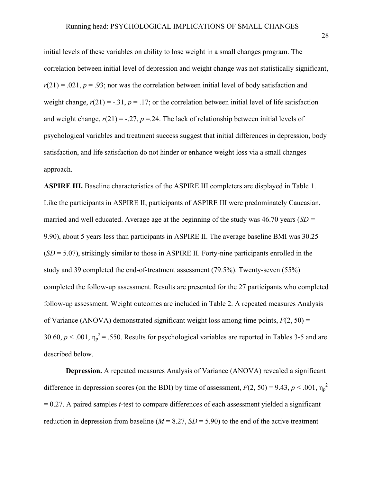initial levels of these variables on ability to lose weight in a small changes program. The correlation between initial level of depression and weight change was not statistically significant,  $r(21) = .021$ ,  $p = .93$ ; nor was the correlation between initial level of body satisfaction and weight change,  $r(21) = -0.31$ ,  $p = 0.17$ ; or the correlation between initial level of life satisfaction and weight change,  $r(21) = -.27$ ,  $p = .24$ . The lack of relationship between initial levels of psychological variables and treatment success suggest that initial differences in depression, body satisfaction, and life satisfaction do not hinder or enhance weight loss via a small changes approach.

**ASPIRE III.** Baseline characteristics of the ASPIRE III completers are displayed in Table 1. Like the participants in ASPIRE II, participants of ASPIRE III were predominately Caucasian, married and well educated. Average age at the beginning of the study was 46.70 years (*SD =*  9.90), about 5 years less than participants in ASPIRE II. The average baseline BMI was 30.25 (*SD* = 5.07), strikingly similar to those in ASPIRE II. Forty-nine participants enrolled in the study and 39 completed the end-of-treatment assessment (79.5%). Twenty-seven (55%) completed the follow-up assessment. Results are presented for the 27 participants who completed follow-up assessment. Weight outcomes are included in Table 2. A repeated measures Analysis of Variance (ANOVA) demonstrated significant weight loss among time points,  $F(2, 50) =$ 30.60,  $p < .001$ ,  $\eta_p^2 = .550$ . Results for psychological variables are reported in Tables 3-5 and are described below.

**Depression.** A repeated measures Analysis of Variance (ANOVA) revealed a significant difference in depression scores (on the BDI) by time of assessment,  $F(2, 50) = 9.43$ ,  $p < .001$ ,  $\eta_p^2$ = 0.27. A paired samples *t*-test to compare differences of each assessment yielded a significant reduction in depression from baseline  $(M = 8.27, SD = 5.90)$  to the end of the active treatment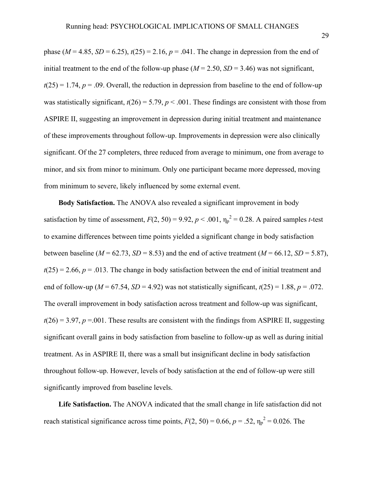phase ( $M = 4.85$ ,  $SD = 6.25$ ),  $t(25) = 2.16$ ,  $p = .041$ . The change in depression from the end of initial treatment to the end of the follow-up phase  $(M = 2.50, SD = 3.46)$  was not significant,  $t(25) = 1.74$ ,  $p = .09$ . Overall, the reduction in depression from baseline to the end of follow-up was statistically significant,  $t(26) = 5.79$ ,  $p < .001$ . These findings are consistent with those from ASPIRE II, suggesting an improvement in depression during initial treatment and maintenance of these improvements throughout follow-up. Improvements in depression were also clinically significant. Of the 27 completers, three reduced from average to minimum, one from average to minor, and six from minor to minimum. Only one participant became more depressed, moving from minimum to severe, likely influenced by some external event.

**Body Satisfaction.** The ANOVA also revealed a significant improvement in body satisfaction by time of assessment,  $F(2, 50) = 9.92$ ,  $p < .001$ ,  $\eta_p^2 = 0.28$ . A paired samples *t*-test to examine differences between time points yielded a significant change in body satisfaction between baseline ( $M = 62.73$ ,  $SD = 8.53$ ) and the end of active treatment ( $M = 66.12$ ,  $SD = 5.87$ ),  $t(25) = 2.66$ ,  $p = .013$ . The change in body satisfaction between the end of initial treatment and end of follow-up ( $M = 67.54$ ,  $SD = 4.92$ ) was not statistically significant,  $t(25) = 1.88$ ,  $p = .072$ . The overall improvement in body satisfaction across treatment and follow-up was significant,  $t(26) = 3.97$ ,  $p = 0.001$ . These results are consistent with the findings from ASPIRE II, suggesting significant overall gains in body satisfaction from baseline to follow-up as well as during initial treatment. As in ASPIRE II, there was a small but insignificant decline in body satisfaction throughout follow-up. However, levels of body satisfaction at the end of follow-up were still significantly improved from baseline levels.

**Life Satisfaction.** The ANOVA indicated that the small change in life satisfaction did not reach statistical significance across time points,  $F(2, 50) = 0.66$ ,  $p = .52$ ,  $\eta_p^2 = 0.026$ . The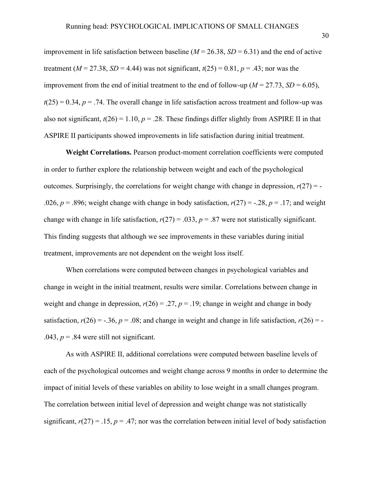improvement in life satisfaction between baseline  $(M = 26.38, SD = 6.31)$  and the end of active treatment ( $M = 27.38$ ,  $SD = 4.44$ ) was not significant,  $t(25) = 0.81$ ,  $p = .43$ ; nor was the improvement from the end of initial treatment to the end of follow-up ( $M = 27.73$ ,  $SD = 6.05$ ),  $t(25) = 0.34$ ,  $p = .74$ . The overall change in life satisfaction across treatment and follow-up was also not significant,  $t(26) = 1.10$ ,  $p = .28$ . These findings differ slightly from ASPIRE II in that ASPIRE II participants showed improvements in life satisfaction during initial treatment.

**Weight Correlations.** Pearson product-moment correlation coefficients were computed in order to further explore the relationship between weight and each of the psychological outcomes. Surprisingly, the correlations for weight change with change in depression,  $r(27) = -$ .026,  $p = 0.896$ ; weight change with change in body satisfaction,  $r(27) = -0.28$ ,  $p = 0.17$ ; and weight change with change in life satisfaction,  $r(27) = .033$ ,  $p = .87$  were not statistically significant. This finding suggests that although we see improvements in these variables during initial treatment, improvements are not dependent on the weight loss itself.

When correlations were computed between changes in psychological variables and change in weight in the initial treatment, results were similar. Correlations between change in weight and change in depression,  $r(26) = .27$ ,  $p = .19$ ; change in weight and change in body satisfaction,  $r(26) = -.36$ ,  $p = .08$ ; and change in weight and change in life satisfaction,  $r(26) = -$ .043,  $p = 0.84$  were still not significant.

As with ASPIRE II, additional correlations were computed between baseline levels of each of the psychological outcomes and weight change across 9 months in order to determine the impact of initial levels of these variables on ability to lose weight in a small changes program. The correlation between initial level of depression and weight change was not statistically significant,  $r(27) = .15$ ,  $p = .47$ ; nor was the correlation between initial level of body satisfaction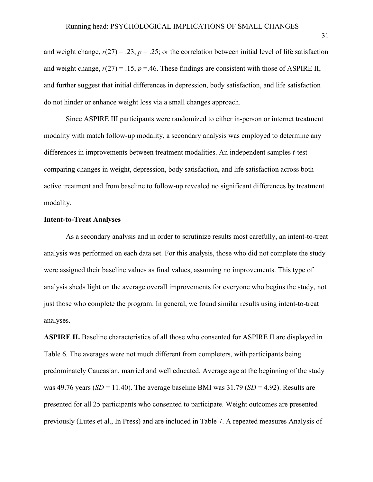and weight change,  $r(27) = 0.23$ ,  $p = 0.25$ ; or the correlation between initial level of life satisfaction and weight change,  $r(27) = .15$ ,  $p = .46$ . These findings are consistent with those of ASPIRE II, and further suggest that initial differences in depression, body satisfaction, and life satisfaction do not hinder or enhance weight loss via a small changes approach.

Since ASPIRE III participants were randomized to either in-person or internet treatment modality with match follow-up modality, a secondary analysis was employed to determine any differences in improvements between treatment modalities. An independent samples *t*-test comparing changes in weight, depression, body satisfaction, and life satisfaction across both active treatment and from baseline to follow-up revealed no significant differences by treatment modality.

### **Intent-to-Treat Analyses**

As a secondary analysis and in order to scrutinize results most carefully, an intent-to-treat analysis was performed on each data set. For this analysis, those who did not complete the study were assigned their baseline values as final values, assuming no improvements. This type of analysis sheds light on the average overall improvements for everyone who begins the study, not just those who complete the program. In general, we found similar results using intent-to-treat analyses.

**ASPIRE II.** Baseline characteristics of all those who consented for ASPIRE II are displayed in Table 6. The averages were not much different from completers, with participants being predominately Caucasian, married and well educated. Average age at the beginning of the study was 49.76 years ( $SD = 11.40$ ). The average baseline BMI was  $31.79$  ( $SD = 4.92$ ). Results are presented for all 25 participants who consented to participate. Weight outcomes are presented previously (Lutes et al., In Press) and are included in Table 7. A repeated measures Analysis of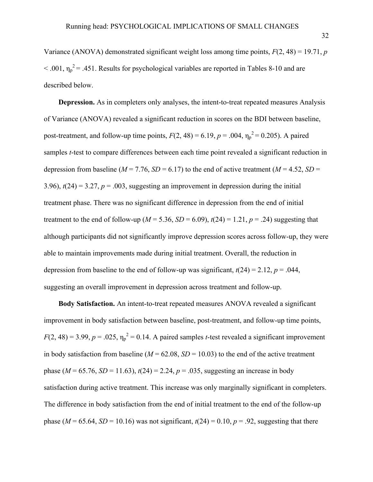Variance (ANOVA) demonstrated significant weight loss among time points, *F*(2, 48) = 19.71, *p*  $< .001$ ,  $\eta_p^2$  = .451. Results for psychological variables are reported in Tables 8-10 and are described below.

**Depression.** As in completers only analyses, the intent-to-treat repeated measures Analysis of Variance (ANOVA) revealed a significant reduction in scores on the BDI between baseline, post-treatment, and follow-up time points,  $F(2, 48) = 6.19$ ,  $p = .004$ ,  $\eta_p^2 = 0.205$ ). A paired samples *t*-test to compare differences between each time point revealed a significant reduction in depression from baseline ( $M = 7.76$ ,  $SD = 6.17$ ) to the end of active treatment ( $M = 4.52$ ,  $SD =$ 3.96),  $t(24) = 3.27$ ,  $p = .003$ , suggesting an improvement in depression during the initial treatment phase. There was no significant difference in depression from the end of initial treatment to the end of follow-up ( $M = 5.36$ ,  $SD = 6.09$ ),  $t(24) = 1.21$ ,  $p = .24$ ) suggesting that although participants did not significantly improve depression scores across follow-up, they were able to maintain improvements made during initial treatment. Overall, the reduction in depression from baseline to the end of follow-up was significant,  $t(24) = 2.12$ ,  $p = .044$ , suggesting an overall improvement in depression across treatment and follow-up.

**Body Satisfaction.** An intent-to-treat repeated measures ANOVA revealed a significant improvement in body satisfaction between baseline, post-treatment, and follow-up time points,  $F(2, 48) = 3.99$ ,  $p = .025$ ,  $\eta_p^2 = 0.14$ . A paired samples *t*-test revealed a significant improvement in body satisfaction from baseline ( $M = 62.08$ ,  $SD = 10.03$ ) to the end of the active treatment phase ( $M = 65.76$ ,  $SD = 11.63$ ),  $t(24) = 2.24$ ,  $p = .035$ , suggesting an increase in body satisfaction during active treatment. This increase was only marginally significant in completers. The difference in body satisfaction from the end of initial treatment to the end of the follow-up phase ( $M = 65.64$ ,  $SD = 10.16$ ) was not significant,  $t(24) = 0.10$ ,  $p = .92$ , suggesting that there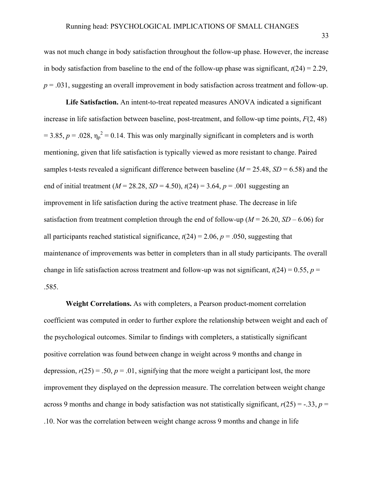was not much change in body satisfaction throughout the follow-up phase. However, the increase in body satisfaction from baseline to the end of the follow-up phase was significant,  $t(24) = 2.29$ ,  $p = 0.031$ , suggesting an overall improvement in body satisfaction across treatment and follow-up.

**Life Satisfaction.** An intent-to-treat repeated measures ANOVA indicated a significant increase in life satisfaction between baseline, post-treatment, and follow-up time points, *F*(2, 48)  $= 3.85, p = .028, \eta_p^2 = 0.14$ . This was only marginally significant in completers and is worth mentioning, given that life satisfaction is typically viewed as more resistant to change. Paired samples t-tests revealed a significant difference between baseline  $(M = 25.48, SD = 6.58)$  and the end of initial treatment ( $M = 28.28$ ,  $SD = 4.50$ ),  $t(24) = 3.64$ ,  $p = .001$  suggesting an improvement in life satisfaction during the active treatment phase. The decrease in life satisfaction from treatment completion through the end of follow-up ( $M = 26.20$ ,  $SD - 6.06$ ) for all participants reached statistical significance,  $t(24) = 2.06$ ,  $p = .050$ , suggesting that maintenance of improvements was better in completers than in all study participants. The overall change in life satisfaction across treatment and follow-up was not significant,  $t(24) = 0.55$ ,  $p =$ .585.

**Weight Correlations.** As with completers, a Pearson product-moment correlation coefficient was computed in order to further explore the relationship between weight and each of the psychological outcomes. Similar to findings with completers, a statistically significant positive correlation was found between change in weight across 9 months and change in depression,  $r(25) = .50$ ,  $p = .01$ , signifying that the more weight a participant lost, the more improvement they displayed on the depression measure. The correlation between weight change across 9 months and change in body satisfaction was not statistically significant,  $r(25) = -.33$ ,  $p =$ .10. Nor was the correlation between weight change across 9 months and change in life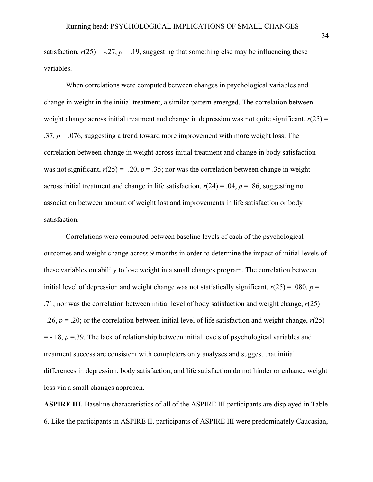satisfaction,  $r(25) = -0.27$ ,  $p = 0.19$ , suggesting that something else may be influencing these variables.

When correlations were computed between changes in psychological variables and change in weight in the initial treatment, a similar pattern emerged. The correlation between weight change across initial treatment and change in depression was not quite significant,  $r(25)$  = .37, *p* = .076, suggesting a trend toward more improvement with more weight loss. The correlation between change in weight across initial treatment and change in body satisfaction was not significant,  $r(25) = -.20$ ,  $p = .35$ ; nor was the correlation between change in weight across initial treatment and change in life satisfaction,  $r(24) = .04$ ,  $p = .86$ , suggesting no association between amount of weight lost and improvements in life satisfaction or body satisfaction.

Correlations were computed between baseline levels of each of the psychological outcomes and weight change across 9 months in order to determine the impact of initial levels of these variables on ability to lose weight in a small changes program. The correlation between initial level of depression and weight change was not statistically significant,  $r(25) = .080$ ,  $p =$ .71; nor was the correlation between initial level of body satisfaction and weight change,  $r(25) =$ -.26, *p* = .20; or the correlation between initial level of life satisfaction and weight change, *r*(25)  $= -.18$ ,  $p = .39$ . The lack of relationship between initial levels of psychological variables and treatment success are consistent with completers only analyses and suggest that initial differences in depression, body satisfaction, and life satisfaction do not hinder or enhance weight loss via a small changes approach.

**ASPIRE III.** Baseline characteristics of all of the ASPIRE III participants are displayed in Table 6. Like the participants in ASPIRE II, participants of ASPIRE III were predominately Caucasian,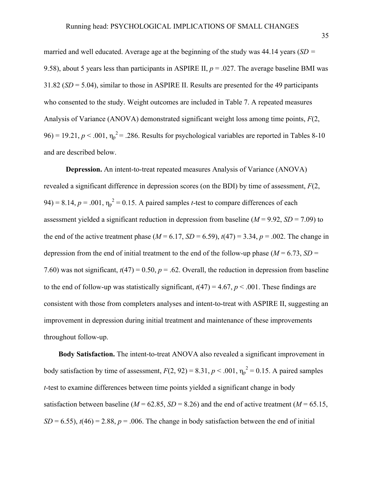married and well educated. Average age at the beginning of the study was 44.14 years (*SD =*  9.58), about 5 years less than participants in ASPIRE II,  $p = .027$ . The average baseline BMI was 31.82 (*SD* = 5.04), similar to those in ASPIRE II. Results are presented for the 49 participants who consented to the study. Weight outcomes are included in Table 7. A repeated measures Analysis of Variance (ANOVA) demonstrated significant weight loss among time points, *F*(2,  $96$ ) = 19.21,  $p < .001$ ,  $\eta_p^2$  = .286. Results for psychological variables are reported in Tables 8-10 and are described below.

**Depression.** An intent-to-treat repeated measures Analysis of Variance (ANOVA) revealed a significant difference in depression scores (on the BDI) by time of assessment, *F*(2, 94) = 8.14,  $p = .001$ ,  $\eta_p^2 = 0.15$ . A paired samples *t*-test to compare differences of each assessment yielded a significant reduction in depression from baseline  $(M = 9.92, SD = 7.09)$  to the end of the active treatment phase ( $M = 6.17$ ,  $SD = 6.59$ ),  $t(47) = 3.34$ ,  $p = .002$ . The change in depression from the end of initial treatment to the end of the follow-up phase ( $M = 6.73$ ,  $SD =$ 7.60) was not significant,  $t(47) = 0.50$ ,  $p = .62$ . Overall, the reduction in depression from baseline to the end of follow-up was statistically significant,  $t(47) = 4.67$ ,  $p < .001$ . These findings are consistent with those from completers analyses and intent-to-treat with ASPIRE II, suggesting an improvement in depression during initial treatment and maintenance of these improvements throughout follow-up.

**Body Satisfaction.** The intent-to-treat ANOVA also revealed a significant improvement in body satisfaction by time of assessment,  $F(2, 92) = 8.31$ ,  $p < .001$ ,  $\eta_p^2 = 0.15$ . A paired samples *t*-test to examine differences between time points yielded a significant change in body satisfaction between baseline ( $M = 62.85$ ,  $SD = 8.26$ ) and the end of active treatment ( $M = 65.15$ ,  $SD = 6.55$ ),  $t(46) = 2.88$ ,  $p = .006$ . The change in body satisfaction between the end of initial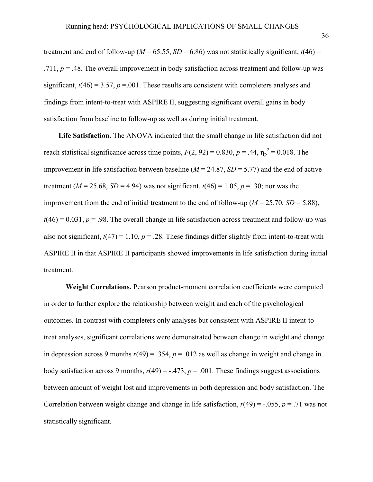treatment and end of follow-up ( $M = 65.55$ ,  $SD = 6.86$ ) was not statistically significant,  $t(46) =$ .711,  $p = 0.48$ . The overall improvement in body satisfaction across treatment and follow-up was significant,  $t(46) = 3.57$ ,  $p = .001$ . These results are consistent with completers analyses and findings from intent-to-treat with ASPIRE II, suggesting significant overall gains in body satisfaction from baseline to follow-up as well as during initial treatment.

**Life Satisfaction.** The ANOVA indicated that the small change in life satisfaction did not reach statistical significance across time points,  $F(2, 92) = 0.830$ ,  $p = .44$ ,  $\eta_p^2 = 0.018$ . The improvement in life satisfaction between baseline  $(M = 24.87, SD = 5.77)$  and the end of active treatment ( $M = 25.68$ ,  $SD = 4.94$ ) was not significant,  $t(46) = 1.05$ ,  $p = .30$ ; nor was the improvement from the end of initial treatment to the end of follow-up ( $M = 25.70$ ,  $SD = 5.88$ ),  $t(46) = 0.031$ ,  $p = .98$ . The overall change in life satisfaction across treatment and follow-up was also not significant,  $t(47) = 1.10$ ,  $p = .28$ . These findings differ slightly from intent-to-treat with ASPIRE II in that ASPIRE II participants showed improvements in life satisfaction during initial treatment.

**Weight Correlations.** Pearson product-moment correlation coefficients were computed in order to further explore the relationship between weight and each of the psychological outcomes. In contrast with completers only analyses but consistent with ASPIRE II intent-totreat analyses, significant correlations were demonstrated between change in weight and change in depression across 9 months  $r(49) = .354$ ,  $p = .012$  as well as change in weight and change in body satisfaction across 9 months,  $r(49) = -.473$ ,  $p = .001$ . These findings suggest associations between amount of weight lost and improvements in both depression and body satisfaction. The Correlation between weight change and change in life satisfaction,  $r(49) = -0.055$ ,  $p = 0.71$  was not statistically significant.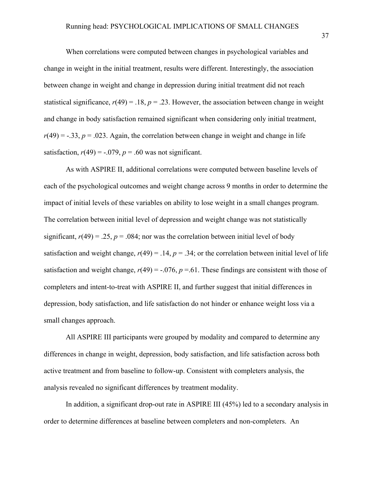When correlations were computed between changes in psychological variables and change in weight in the initial treatment, results were different. Interestingly, the association between change in weight and change in depression during initial treatment did not reach statistical significance,  $r(49) = .18$ ,  $p = .23$ . However, the association between change in weight and change in body satisfaction remained significant when considering only initial treatment,  $r(49) = -.33$ ,  $p = .023$ . Again, the correlation between change in weight and change in life satisfaction,  $r(49) = -0.079$ ,  $p = 0.60$  was not significant.

As with ASPIRE II, additional correlations were computed between baseline levels of each of the psychological outcomes and weight change across 9 months in order to determine the impact of initial levels of these variables on ability to lose weight in a small changes program. The correlation between initial level of depression and weight change was not statistically significant,  $r(49) = 0.25$ ,  $p = 0.084$ ; nor was the correlation between initial level of body satisfaction and weight change,  $r(49) = .14$ ,  $p = .34$ ; or the correlation between initial level of life satisfaction and weight change,  $r(49) = -0.076$ ,  $p = 0.61$ . These findings are consistent with those of completers and intent-to-treat with ASPIRE II, and further suggest that initial differences in depression, body satisfaction, and life satisfaction do not hinder or enhance weight loss via a small changes approach.

All ASPIRE III participants were grouped by modality and compared to determine any differences in change in weight, depression, body satisfaction, and life satisfaction across both active treatment and from baseline to follow-up. Consistent with completers analysis, the analysis revealed no significant differences by treatment modality.

In addition, a significant drop-out rate in ASPIRE III (45%) led to a secondary analysis in order to determine differences at baseline between completers and non-completers. An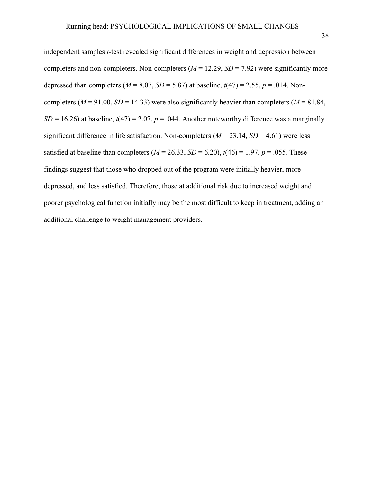independent samples *t*-test revealed significant differences in weight and depression between completers and non-completers. Non-completers  $(M = 12.29, SD = 7.92)$  were significantly more depressed than completers ( $M = 8.07$ ,  $SD = 5.87$ ) at baseline,  $t(47) = 2.55$ ,  $p = .014$ . Noncompleters ( $M = 91.00$ ,  $SD = 14.33$ ) were also significantly heavier than completers ( $M = 81.84$ ,  $SD = 16.26$ ) at baseline,  $t(47) = 2.07$ ,  $p = .044$ . Another noteworthy difference was a marginally significant difference in life satisfaction. Non-completers  $(M = 23.14, SD = 4.61)$  were less satisfied at baseline than completers  $(M = 26.33, SD = 6.20)$ ,  $t(46) = 1.97$ ,  $p = .055$ . These findings suggest that those who dropped out of the program were initially heavier, more depressed, and less satisfied. Therefore, those at additional risk due to increased weight and poorer psychological function initially may be the most difficult to keep in treatment, adding an additional challenge to weight management providers.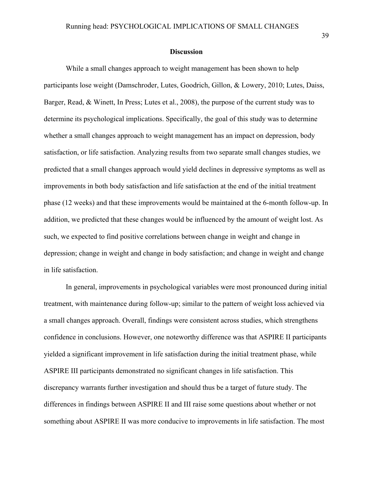#### **Discussion**

While a small changes approach to weight management has been shown to help participants lose weight (Damschroder, Lutes, Goodrich, Gillon, & Lowery, 2010; Lutes, Daiss, Barger, Read, & Winett, In Press; Lutes et al., 2008), the purpose of the current study was to determine its psychological implications. Specifically, the goal of this study was to determine whether a small changes approach to weight management has an impact on depression, body satisfaction, or life satisfaction. Analyzing results from two separate small changes studies, we predicted that a small changes approach would yield declines in depressive symptoms as well as improvements in both body satisfaction and life satisfaction at the end of the initial treatment phase (12 weeks) and that these improvements would be maintained at the 6-month follow-up. In addition, we predicted that these changes would be influenced by the amount of weight lost. As such, we expected to find positive correlations between change in weight and change in depression; change in weight and change in body satisfaction; and change in weight and change in life satisfaction.

In general, improvements in psychological variables were most pronounced during initial treatment, with maintenance during follow-up; similar to the pattern of weight loss achieved via a small changes approach. Overall, findings were consistent across studies, which strengthens confidence in conclusions. However, one noteworthy difference was that ASPIRE II participants yielded a significant improvement in life satisfaction during the initial treatment phase, while ASPIRE III participants demonstrated no significant changes in life satisfaction. This discrepancy warrants further investigation and should thus be a target of future study. The differences in findings between ASPIRE II and III raise some questions about whether or not something about ASPIRE II was more conducive to improvements in life satisfaction. The most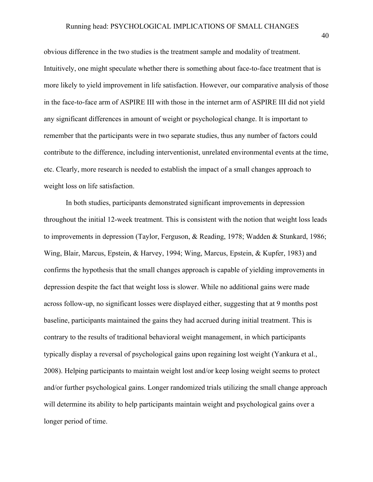obvious difference in the two studies is the treatment sample and modality of treatment. Intuitively, one might speculate whether there is something about face-to-face treatment that is more likely to yield improvement in life satisfaction. However, our comparative analysis of those in the face-to-face arm of ASPIRE III with those in the internet arm of ASPIRE III did not yield any significant differences in amount of weight or psychological change. It is important to remember that the participants were in two separate studies, thus any number of factors could contribute to the difference, including interventionist, unrelated environmental events at the time, etc. Clearly, more research is needed to establish the impact of a small changes approach to weight loss on life satisfaction.

In both studies, participants demonstrated significant improvements in depression throughout the initial 12-week treatment. This is consistent with the notion that weight loss leads to improvements in depression (Taylor, Ferguson, & Reading, 1978; Wadden & Stunkard, 1986; Wing, Blair, Marcus, Epstein, & Harvey, 1994; Wing, Marcus, Epstein, & Kupfer, 1983) and confirms the hypothesis that the small changes approach is capable of yielding improvements in depression despite the fact that weight loss is slower. While no additional gains were made across follow-up, no significant losses were displayed either, suggesting that at 9 months post baseline, participants maintained the gains they had accrued during initial treatment. This is contrary to the results of traditional behavioral weight management, in which participants typically display a reversal of psychological gains upon regaining lost weight (Yankura et al., 2008). Helping participants to maintain weight lost and/or keep losing weight seems to protect and/or further psychological gains. Longer randomized trials utilizing the small change approach will determine its ability to help participants maintain weight and psychological gains over a longer period of time.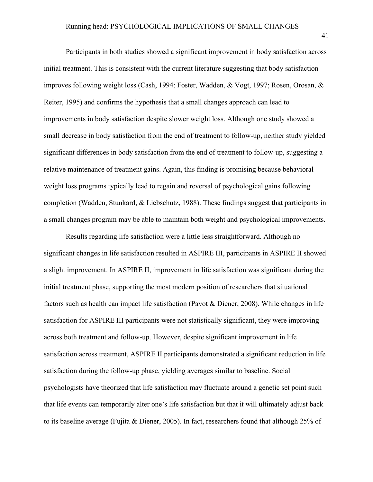Participants in both studies showed a significant improvement in body satisfaction across initial treatment. This is consistent with the current literature suggesting that body satisfaction improves following weight loss (Cash, 1994; Foster, Wadden, & Vogt, 1997; Rosen, Orosan, & Reiter, 1995) and confirms the hypothesis that a small changes approach can lead to improvements in body satisfaction despite slower weight loss. Although one study showed a small decrease in body satisfaction from the end of treatment to follow-up, neither study yielded significant differences in body satisfaction from the end of treatment to follow-up, suggesting a relative maintenance of treatment gains. Again, this finding is promising because behavioral weight loss programs typically lead to regain and reversal of psychological gains following completion (Wadden, Stunkard, & Liebschutz, 1988). These findings suggest that participants in a small changes program may be able to maintain both weight and psychological improvements.

Results regarding life satisfaction were a little less straightforward. Although no significant changes in life satisfaction resulted in ASPIRE III, participants in ASPIRE II showed a slight improvement. In ASPIRE II, improvement in life satisfaction was significant during the initial treatment phase, supporting the most modern position of researchers that situational factors such as health can impact life satisfaction (Pavot & Diener, 2008). While changes in life satisfaction for ASPIRE III participants were not statistically significant, they were improving across both treatment and follow-up. However, despite significant improvement in life satisfaction across treatment, ASPIRE II participants demonstrated a significant reduction in life satisfaction during the follow-up phase, yielding averages similar to baseline. Social psychologists have theorized that life satisfaction may fluctuate around a genetic set point such that life events can temporarily alter one's life satisfaction but that it will ultimately adjust back to its baseline average (Fujita & Diener, 2005). In fact, researchers found that although 25% of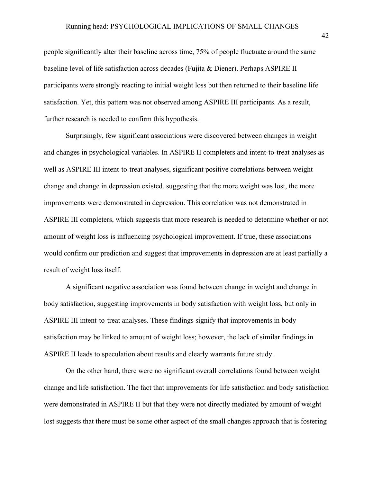people significantly alter their baseline across time, 75% of people fluctuate around the same baseline level of life satisfaction across decades (Fujita & Diener). Perhaps ASPIRE II participants were strongly reacting to initial weight loss but then returned to their baseline life satisfaction. Yet, this pattern was not observed among ASPIRE III participants. As a result, further research is needed to confirm this hypothesis.

Surprisingly, few significant associations were discovered between changes in weight and changes in psychological variables. In ASPIRE II completers and intent-to-treat analyses as well as ASPIRE III intent-to-treat analyses, significant positive correlations between weight change and change in depression existed, suggesting that the more weight was lost, the more improvements were demonstrated in depression. This correlation was not demonstrated in ASPIRE III completers, which suggests that more research is needed to determine whether or not amount of weight loss is influencing psychological improvement. If true, these associations would confirm our prediction and suggest that improvements in depression are at least partially a result of weight loss itself.

A significant negative association was found between change in weight and change in body satisfaction, suggesting improvements in body satisfaction with weight loss, but only in ASPIRE III intent-to-treat analyses. These findings signify that improvements in body satisfaction may be linked to amount of weight loss; however, the lack of similar findings in ASPIRE II leads to speculation about results and clearly warrants future study.

On the other hand, there were no significant overall correlations found between weight change and life satisfaction. The fact that improvements for life satisfaction and body satisfaction were demonstrated in ASPIRE II but that they were not directly mediated by amount of weight lost suggests that there must be some other aspect of the small changes approach that is fostering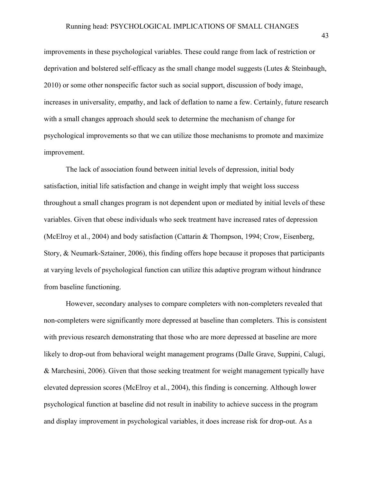improvements in these psychological variables. These could range from lack of restriction or deprivation and bolstered self-efficacy as the small change model suggests (Lutes & Steinbaugh, 2010) or some other nonspecific factor such as social support, discussion of body image, increases in universality, empathy, and lack of deflation to name a few. Certainly, future research with a small changes approach should seek to determine the mechanism of change for psychological improvements so that we can utilize those mechanisms to promote and maximize improvement.

The lack of association found between initial levels of depression, initial body satisfaction, initial life satisfaction and change in weight imply that weight loss success throughout a small changes program is not dependent upon or mediated by initial levels of these variables. Given that obese individuals who seek treatment have increased rates of depression (McElroy et al., 2004) and body satisfaction (Cattarin & Thompson, 1994; Crow, Eisenberg, Story, & Neumark-Sztainer, 2006), this finding offers hope because it proposes that participants at varying levels of psychological function can utilize this adaptive program without hindrance from baseline functioning.

However, secondary analyses to compare completers with non-completers revealed that non-completers were significantly more depressed at baseline than completers. This is consistent with previous research demonstrating that those who are more depressed at baseline are more likely to drop-out from behavioral weight management programs (Dalle Grave, Suppini, Calugi, & Marchesini, 2006). Given that those seeking treatment for weight management typically have elevated depression scores (McElroy et al., 2004), this finding is concerning. Although lower psychological function at baseline did not result in inability to achieve success in the program and display improvement in psychological variables, it does increase risk for drop-out. As a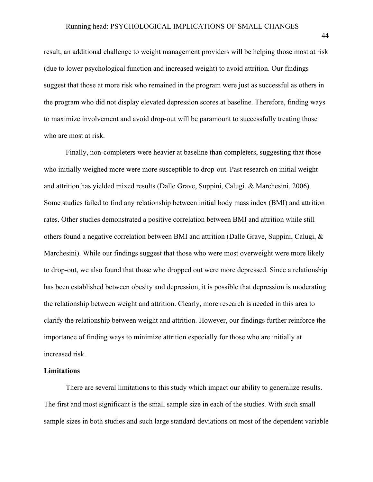result, an additional challenge to weight management providers will be helping those most at risk (due to lower psychological function and increased weight) to avoid attrition. Our findings suggest that those at more risk who remained in the program were just as successful as others in the program who did not display elevated depression scores at baseline. Therefore, finding ways to maximize involvement and avoid drop-out will be paramount to successfully treating those who are most at risk.

Finally, non-completers were heavier at baseline than completers, suggesting that those who initially weighed more were more susceptible to drop-out. Past research on initial weight and attrition has yielded mixed results (Dalle Grave, Suppini, Calugi, & Marchesini, 2006). Some studies failed to find any relationship between initial body mass index (BMI) and attrition rates. Other studies demonstrated a positive correlation between BMI and attrition while still others found a negative correlation between BMI and attrition (Dalle Grave, Suppini, Calugi,  $\&$ Marchesini). While our findings suggest that those who were most overweight were more likely to drop-out, we also found that those who dropped out were more depressed. Since a relationship has been established between obesity and depression, it is possible that depression is moderating the relationship between weight and attrition. Clearly, more research is needed in this area to clarify the relationship between weight and attrition. However, our findings further reinforce the importance of finding ways to minimize attrition especially for those who are initially at increased risk.

### **Limitations**

There are several limitations to this study which impact our ability to generalize results. The first and most significant is the small sample size in each of the studies. With such small sample sizes in both studies and such large standard deviations on most of the dependent variable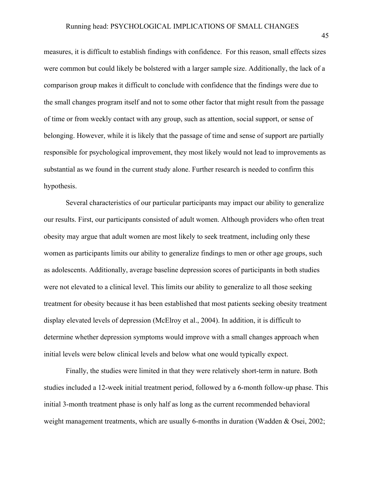measures, it is difficult to establish findings with confidence. For this reason, small effects sizes were common but could likely be bolstered with a larger sample size. Additionally, the lack of a comparison group makes it difficult to conclude with confidence that the findings were due to the small changes program itself and not to some other factor that might result from the passage of time or from weekly contact with any group, such as attention, social support, or sense of belonging. However, while it is likely that the passage of time and sense of support are partially responsible for psychological improvement, they most likely would not lead to improvements as substantial as we found in the current study alone. Further research is needed to confirm this hypothesis.

Several characteristics of our particular participants may impact our ability to generalize our results. First, our participants consisted of adult women. Although providers who often treat obesity may argue that adult women are most likely to seek treatment, including only these women as participants limits our ability to generalize findings to men or other age groups, such as adolescents. Additionally, average baseline depression scores of participants in both studies were not elevated to a clinical level. This limits our ability to generalize to all those seeking treatment for obesity because it has been established that most patients seeking obesity treatment display elevated levels of depression (McElroy et al., 2004). In addition, it is difficult to determine whether depression symptoms would improve with a small changes approach when initial levels were below clinical levels and below what one would typically expect.

Finally, the studies were limited in that they were relatively short-term in nature. Both studies included a 12-week initial treatment period, followed by a 6-month follow-up phase. This initial 3-month treatment phase is only half as long as the current recommended behavioral weight management treatments, which are usually 6-months in duration (Wadden & Osei, 2002;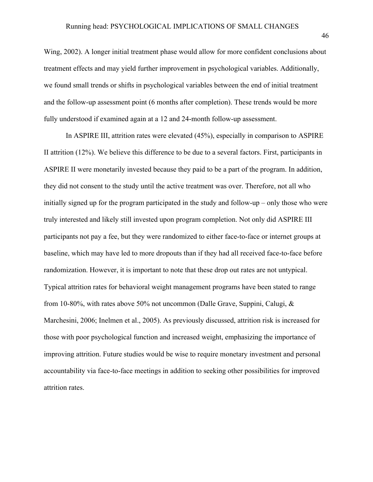Wing, 2002). A longer initial treatment phase would allow for more confident conclusions about treatment effects and may yield further improvement in psychological variables. Additionally, we found small trends or shifts in psychological variables between the end of initial treatment and the follow-up assessment point (6 months after completion). These trends would be more fully understood if examined again at a 12 and 24-month follow-up assessment.

In ASPIRE III, attrition rates were elevated (45%), especially in comparison to ASPIRE II attrition (12%). We believe this difference to be due to a several factors. First, participants in ASPIRE II were monetarily invested because they paid to be a part of the program. In addition, they did not consent to the study until the active treatment was over. Therefore, not all who initially signed up for the program participated in the study and follow-up – only those who were truly interested and likely still invested upon program completion. Not only did ASPIRE III participants not pay a fee, but they were randomized to either face-to-face or internet groups at baseline, which may have led to more dropouts than if they had all received face-to-face before randomization. However, it is important to note that these drop out rates are not untypical. Typical attrition rates for behavioral weight management programs have been stated to range from 10-80%, with rates above 50% not uncommon (Dalle Grave, Suppini, Calugi, & Marchesini, 2006; Inelmen et al., 2005). As previously discussed, attrition risk is increased for those with poor psychological function and increased weight, emphasizing the importance of improving attrition. Future studies would be wise to require monetary investment and personal accountability via face-to-face meetings in addition to seeking other possibilities for improved attrition rates.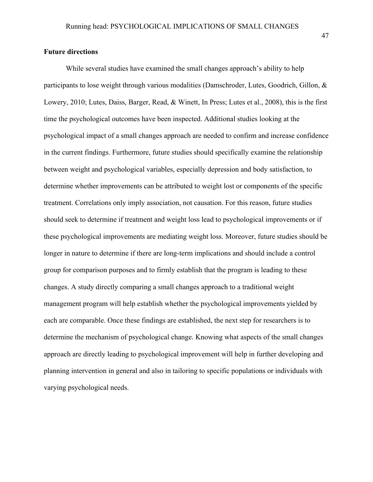# **Future directions**

While several studies have examined the small changes approach's ability to help participants to lose weight through various modalities (Damschroder, Lutes, Goodrich, Gillon, & Lowery, 2010; Lutes, Daiss, Barger, Read, & Winett, In Press; Lutes et al., 2008), this is the first time the psychological outcomes have been inspected. Additional studies looking at the psychological impact of a small changes approach are needed to confirm and increase confidence in the current findings. Furthermore, future studies should specifically examine the relationship between weight and psychological variables, especially depression and body satisfaction, to determine whether improvements can be attributed to weight lost or components of the specific treatment. Correlations only imply association, not causation. For this reason, future studies should seek to determine if treatment and weight loss lead to psychological improvements or if these psychological improvements are mediating weight loss. Moreover, future studies should be longer in nature to determine if there are long-term implications and should include a control group for comparison purposes and to firmly establish that the program is leading to these changes. A study directly comparing a small changes approach to a traditional weight management program will help establish whether the psychological improvements yielded by each are comparable. Once these findings are established, the next step for researchers is to determine the mechanism of psychological change. Knowing what aspects of the small changes approach are directly leading to psychological improvement will help in further developing and planning intervention in general and also in tailoring to specific populations or individuals with varying psychological needs.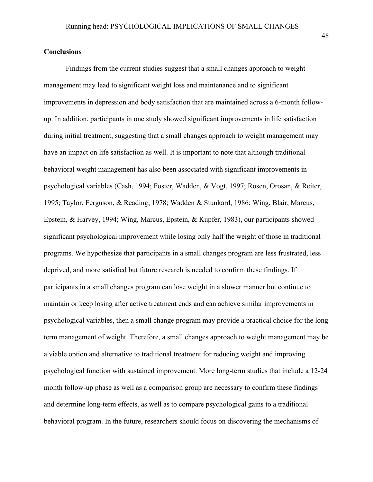# **Conclusions**

Findings from the current studies suggest that a small changes approach to weight management may lead to significant weight loss and maintenance and to significant improvements in depression and body satisfaction that are maintained across a 6-month followup. In addition, participants in one study showed significant improvements in life satisfaction during initial treatment, suggesting that a small changes approach to weight management may have an impact on life satisfaction as well. It is important to note that although traditional behavioral weight management has also been associated with significant improvements in psychological variables (Cash, 1994; Foster, Wadden, & Vogt, 1997; Rosen, Orosan, & Reiter, 1995; Taylor, Ferguson, & Reading, 1978; Wadden & Stunkard, 1986; Wing, Blair, Marcus, Epstein, & Harvey, 1994; Wing, Marcus, Epstein, & Kupfer, 1983), our participants showed significant psychological improvement while losing only half the weight of those in traditional programs. We hypothesize that participants in a small changes program are less frustrated, less deprived, and more satisfied but future research is needed to confirm these findings. If participants in a small changes program can lose weight in a slower manner but continue to maintain or keep losing after active treatment ends and can achieve similar improvements in psychological variables, then a small change program may provide a practical choice for the long term management of weight. Therefore, a small changes approach to weight management may be a viable option and alternative to traditional treatment for reducing weight and improving psychological function with sustained improvement. More long-term studies that include a 12-24 month follow-up phase as well as a comparison group are necessary to confirm these findings and determine long-term effects, as well as to compare psychological gains to a traditional behavioral program. In the future, researchers should focus on discovering the mechanisms of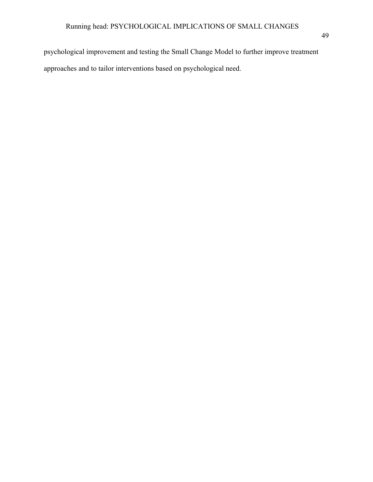psychological improvement and testing the Small Change Model to further improve treatment approaches and to tailor interventions based on psychological need.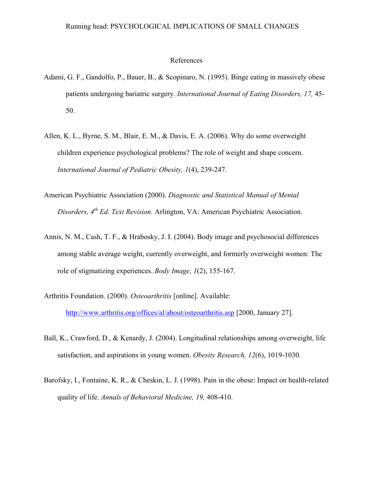### References

- Adami, G. F., Gandolfo, P., Bauer, B., & Scopinaro, N. (1995). Binge eating in massively obese patients undergoing bariatric surgery. *International Journal of Eating Disorders, 17,* 45- 50.
- Allen, K. L., Byrne, S. M., Blair, E. M., & Davis, E. A. (2006). Why do some overweight children experience psychological problems? The role of weight and shape concern. *International Journal of Pediatric Obesity, 1*(4), 239-247.
- American Psychiatric Association (2000). *Diagnostic and Statistical Manual of Mental Disorders, 4th Ed. Text Revision.* Arlington, VA: American Psychiatric Association.
- Annis, N. M., Cash, T. F., & Hrabosky, J. I. (2004). Body image and psychosocial differences among stable average weight, currently overweight, and formerly overweight women: The role of stigmatizing experiences. *Body Image, 1*(2), 155-167.
- Arthritis Foundation. (2000). *Osteoarthritis* [online]. Available: http://www.arthritis.org/offices/al/about/osteoarthritis.asp [2000, January 27].
- Ball, K., Crawford, D., & Kenardy, J. (2004). Longitudinal relationships among overweight, life satisfaction, and aspirations in young women. *Obesity Research, 12*(6), 1019-1030.
- Barofsky, I., Fontaine, K. R., & Cheskin, L. J. (1998). Pain in the obese: Impact on health-related quality of life. *Annals of Behavioral Medicine, 19,* 408-410.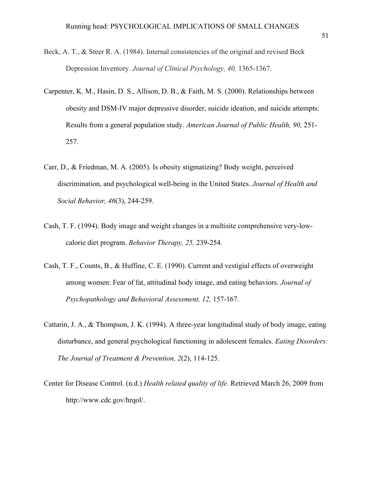- Beck, A. T., & Steer R. A. (1984). Internal consistencies of the original and revised Beck Depression Inventory. *Journal of Clinical Psychology, 40,* 1365-1367.
- Carpenter, K. M., Hasin, D. S., Allison, D. B., & Faith, M. S. (2000). Relationships between obesity and DSM-IV major depressive disorder, suicide ideation, and suicide attempts: Results from a general population study. *American Journal of Public Health, 90,* 251- 257.
- Carr, D., & Friedman, M. A. (2005). Is obesity stigmatizing? Body weight, perceived discrimination, and psychological well-being in the United States. *Journal of Health and Social Behavior, 46*(3), 244-259.
- Cash, T. F. (1994). Body image and weight changes in a multisite comprehensive very-lowcalorie diet program. *Behavior Therapy, 25,* 239-254.
- Cash, T. F., Counts, B., & Huffine, C. E. (1990). Current and vestigial effects of overweight among women: Fear of fat, attitudinal body image, and eating behaviors. *Journal of Psychopathology and Behavioral Assessment, 12,* 157-167.
- Cattarin, J. A., & Thompson, J. K. (1994). A three-year longitudinal study of body image, eating disturbance, and general psychological functioning in adolescent females. *Eating Disorders: The Journal of Treatment & Prevention, 2*(2), 114-125.
- Center for Disease Control. (n.d.) *Health related quality of life.* Retrieved March 26, 2009 from http://www.cdc.gov/hrqol/.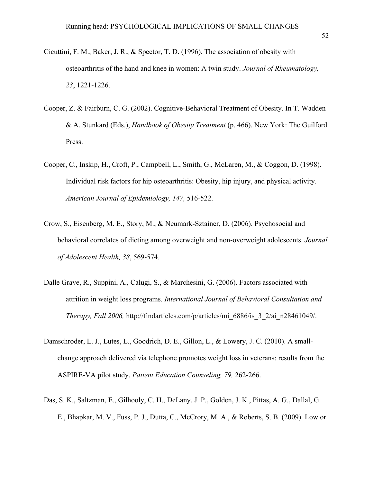- Cicuttini, F. M., Baker, J. R., & Spector, T. D. (1996). The association of obesity with osteoarthritis of the hand and knee in women: A twin study. *Journal of Rheumatology, 23*, 1221-1226.
- Cooper, Z. & Fairburn, C. G. (2002). Cognitive-Behavioral Treatment of Obesity. In T. Wadden & A. Stunkard (Eds.), *Handbook of Obesity Treatment* (p. 466). New York: The Guilford Press.
- Cooper, C., Inskip, H., Croft, P., Campbell, L., Smith, G., McLaren, M., & Coggon, D. (1998). Individual risk factors for hip osteoarthritis: Obesity, hip injury, and physical activity. *American Journal of Epidemiology, 147,* 516-522.
- Crow, S., Eisenberg, M. E., Story, M., & Neumark-Sztainer, D. (2006). Psychosocial and behavioral correlates of dieting among overweight and non-overweight adolescents. *Journal of Adolescent Health, 38*, 569-574.
- Dalle Grave, R., Suppini, A., Calugi, S., & Marchesini, G. (2006). Factors associated with attrition in weight loss programs. *International Journal of Behavioral Consultation and Therapy, Fall 2006,* http://findarticles.com/p/articles/mi\_6886/is\_3\_2/ai\_n28461049/.
- Damschroder, L. J., Lutes, L., Goodrich, D. E., Gillon, L., & Lowery, J. C. (2010). A smallchange approach delivered via telephone promotes weight loss in veterans: results from the ASPIRE-VA pilot study. *Patient Education Counseling, 79,* 262-266.
- Das, S. K., Saltzman, E., Gilhooly, C. H., DeLany, J. P., Golden, J. K., Pittas, A. G., Dallal, G. E., Bhapkar, M. V., Fuss, P. J., Dutta, C., McCrory, M. A., & Roberts, S. B. (2009). Low or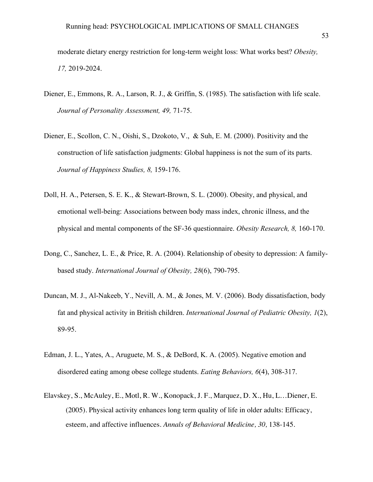moderate dietary energy restriction for long-term weight loss: What works best? *Obesity, 17,* 2019-2024.

- Diener, E., Emmons, R. A., Larson, R. J., & Griffin, S. (1985). The satisfaction with life scale. *Journal of Personality Assessment, 49,* 71-75.
- Diener, E., Scollon, C. N., Oishi, S., Dzokoto, V., & Suh, E. M. (2000). Positivity and the construction of life satisfaction judgments: Global happiness is not the sum of its parts. *Journal of Happiness Studies, 8,* 159-176.
- Doll, H. A., Petersen, S. E. K., & Stewart-Brown, S. L. (2000). Obesity, and physical, and emotional well-being: Associations between body mass index, chronic illness, and the physical and mental components of the SF-36 questionnaire. *Obesity Research, 8,* 160-170.
- Dong, C., Sanchez, L. E., & Price, R. A. (2004). Relationship of obesity to depression: A familybased study. *International Journal of Obesity, 28*(6), 790-795.
- Duncan, M. J., Al-Nakeeb, Y., Nevill, A. M., & Jones, M. V. (2006). Body dissatisfaction, body fat and physical activity in British children. *International Journal of Pediatric Obesity, 1*(2), 89-95.
- Edman, J. L., Yates, A., Aruguete, M. S., & DeBord, K. A. (2005). Negative emotion and disordered eating among obese college students. *Eating Behaviors, 6*(4), 308-317.
- Elavskey, S., McAuley, E., Motl, R. W., Konopack, J. F., Marquez, D. X., Hu, L…Diener, E. (2005). Physical activity enhances long term quality of life in older adults: Efficacy, esteem, and affective influences. *Annals of Behavioral Medicine, 30,* 138-145.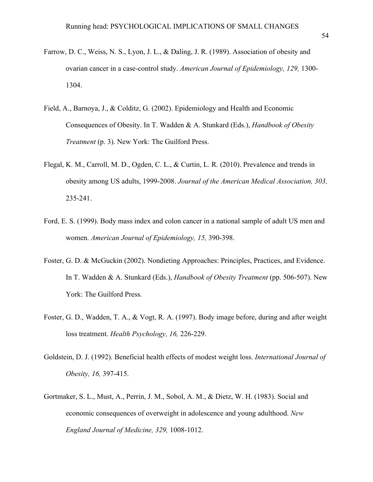- Farrow, D. C., Weiss, N. S., Lyon, J. L., & Daling, J. R. (1989). Association of obesity and ovarian cancer in a case-control study. *American Journal of Epidemiology, 129,* 1300- 1304.
- Field, A., Barnoya, J., & Colditz, G. (2002). Epidemiology and Health and Economic Consequences of Obesity. In T. Wadden & A. Stunkard (Eds.), *Handbook of Obesity Treatment* (p. 3). New York: The Guilford Press.
- Flegal, K. M., Carroll, M. D., Ogden, C. L., & Curtin, L. R. (2010). Prevalence and trends in obesity among US adults, 1999-2008. *Journal of the American Medical Association, 303,*  235-241.
- Ford, E. S. (1999). Body mass index and colon cancer in a national sample of adult US men and women. *American Journal of Epidemiology, 15,* 390-398.
- Foster, G. D. & McGuckin (2002). Nondieting Approaches: Principles, Practices, and Evidence. In T. Wadden & A. Stunkard (Eds.), *Handbook of Obesity Treatment* (pp. 506-507). New York: The Guilford Press.
- Foster, G. D., Wadden, T. A., & Vogt, R. A. (1997). Body image before, during and after weight loss treatment. *Health Psychology, 16,* 226-229.
- Goldstein, D. J. (1992). Beneficial health effects of modest weight loss. *International Journal of Obesity, 16,* 397-415.
- Gortmaker, S. L., Must, A., Perrin, J. M., Sobol, A. M., & Dietz, W. H. (1983). Social and economic consequences of overweight in adolescence and young adulthood. *New England Journal of Medicine, 329,* 1008-1012.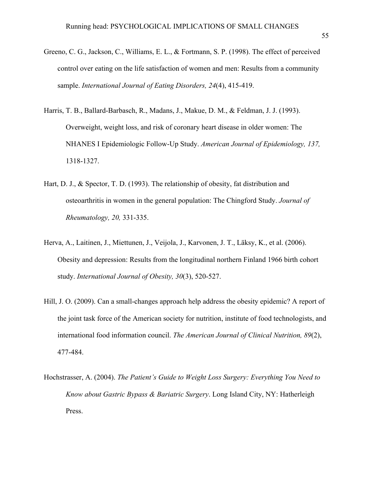- Greeno, C. G., Jackson, C., Williams, E. L., & Fortmann, S. P. (1998). The effect of perceived control over eating on the life satisfaction of women and men: Results from a community sample. *International Journal of Eating Disorders, 24*(4), 415-419.
- Harris, T. B., Ballard-Barbasch, R., Madans, J., Makue, D. M., & Feldman, J. J. (1993). Overweight, weight loss, and risk of coronary heart disease in older women: The NHANES I Epidemiologic Follow-Up Study. *American Journal of Epidemiology, 137,*  1318-1327.
- Hart, D. J., & Spector, T. D. (1993). The relationship of obesity, fat distribution and osteoarthritis in women in the general population: The Chingford Study. *Journal of Rheumatology, 20,* 331-335.
- Herva, A., Laitinen, J., Miettunen, J., Veijola, J., Karvonen, J. T., Läksy, K., et al. (2006). Obesity and depression: Results from the longitudinal northern Finland 1966 birth cohort study. *International Journal of Obesity, 30*(3), 520-527.
- Hill, J. O. (2009). Can a small-changes approach help address the obesity epidemic? A report of the joint task force of the American society for nutrition, institute of food technologists, and international food information council. *The American Journal of Clinical Nutrition, 89*(2), 477-484.
- Hochstrasser, A. (2004). *The Patient's Guide to Weight Loss Surgery: Everything You Need to Know about Gastric Bypass & Bariatric Surgery*. Long Island City, NY: Hatherleigh Press.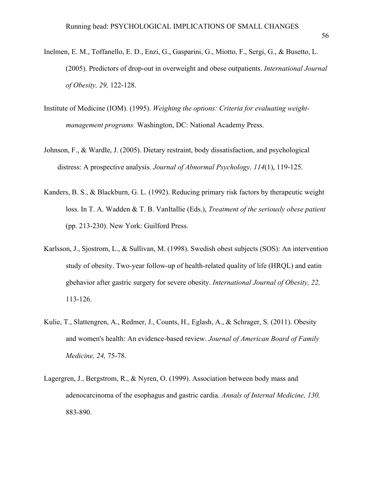- Inelmen, E. M., Toffanello, E. D., Enzi, G., Gasparini, G., Miotto, F., Sergi, G., & Busetto, L. (2005). Predictors of drop-out in overweight and obese outpatients. *International Journal of Obesity, 29,* 122-128.
- Institute of Medicine (IOM). (1995). *Weighing the options: Criteria for evaluating weightmanagement programs.* Washington, DC: National Academy Press.
- Johnson, F., & Wardle, J. (2005). Dietary restraint, body dissatisfaction, and psychological distress: A prospective analysis. *Journal of Abnormal Psychology, 114*(1), 119-125.
- Kanders, B. S., & Blackburn, G. L. (1992). Reducing primary risk factors by therapeutic weight loss. In T. A. Wadden & T. B. VanItallie (Eds.), *Treatment of the seriously obese patient*  (pp. 213-230). New York: Guilford Press.
- Karlsson, J., Sjostrom, L., & Sullivan, M. (1998). Swedish obest subjects (SOS): An intervention study of obesity. Two-year follow-up of health-related quality of life (HRQL) and eatin gbehavior after gastric surgery for severe obesity. *International Journal of Obesity, 22,*  113-126.
- Kulie, T., Slattengren, A., Redmer, J., Counts, H., Eglash, A., & Schrager, S. (2011). Obesity and women's health: An evidence-based review. *Journal of American Board of Family Medicine, 24,* 75-78.
- Lagergren, J., Bergstrom, R., & Nyren, O. (1999). Association between body mass and adenocarcinoma of the esophagus and gastric cardia. *Annals of Internal Medicine, 130,*  883-890.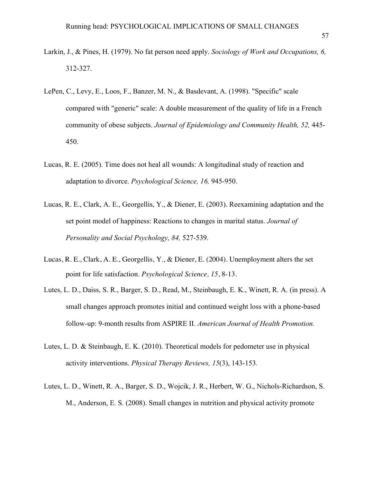- Larkin, J., & Pines, H. (1979). No fat person need apply. *Sociology of Work and Occupations, 6,*  312-327.
- LePen, C., Levy, E., Loos, F., Banzer, M. N., & Basdevant, A. (1998). "Specific" scale compared with "generic" scale: A double measurement of the quality of life in a French community of obese subjects. *Journal of Epidemiology and Community Health, 52,* 445- 450.
- Lucas, R. E. (2005). Time does not heal all wounds: A longitudinal study of reaction and adaptation to divorce. *Psychological Science, 16,* 945-950.
- Lucas, R. E., Clark, A. E., Georgellis, Y., & Diener, E. (2003). Reexamining adaptation and the set point model of happiness: Reactions to changes in marital status. *Journal of Personality and Social Psychology, 84,* 527-539.
- Lucas, R. E., Clark, A. E., Georgellis, Y., & Diener, E. (2004). Unemployment alters the set point for life satisfaction. *Psychological Science, 15*, 8-13.
- Lutes, L. D., Daiss, S. R., Barger, S. D., Read, M., Steinbaugh, E. K., Winett, R. A. (in press). A small changes approach promotes initial and continued weight loss with a phone-based follow-up: 9-month results from ASPIRE II. *American Journal of Health Promotion.*
- Lutes, L. D. & Steinbaugh, E. K. (2010). Theoretical models for pedometer use in physical activity interventions. *Physical Therapy Reviews, 15*(3), 143-153*.*
- Lutes, L. D., Winett, R. A., Barger, S. D., Wojcik, J. R., Herbert, W. G., Nichols-Richardson, S. M., Anderson, E. S. (2008). Small changes in nutrition and physical activity promote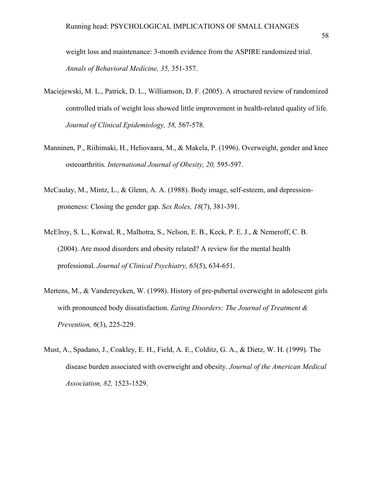weight loss and maintenance: 3-month evidence from the ASPIRE randomized trial. *Annals of Behavioral Medicine, 35,* 351-357.

- Maciejewski, M. L., Patrick, D. L., Williamson, D. F. (2005). A structured review of randomized controlled trials of weight loss showed little improvement in health-related quality of life. *Journal of Clinical Epidemiology, 58,* 567-578.
- Manninen, P., Riihimaki, H., Heliovaara, M., & Makela, P. (1996). Overweight, gender and knee osteoarthritis. *International Journal of Obesity, 20,* 595-597.
- McCaulay, M., Mintz, L., & Glenn, A. A. (1988). Body image, self-esteem, and depressionproneness: Closing the gender gap. *Sex Roles, 18*(7), 381-391.
- McElroy, S. L., Kotwal, R., Malhotra, S., Nelson, E. B., Keck, P. E. J., & Nemeroff, C. B. (2004). Are mood disorders and obesity related? A review for the mental health professional. *Journal of Clinical Psychiatry, 65*(5), 634-651.
- Mertens, M., & Vandereycken, W. (1998). History of pre-pubertal overweight in adolescent girls with pronounced body dissatisfaction. *Eating Disorders: The Journal of Treatment & Prevention, 6*(3), 225-229.
- Must, A., Spadano, J., Coakley, E. H., Field, A. E., Colditz, G. A., & Dietz, W. H. (1999). The disease burden associated with overweight and obesity. *Journal of the American Medical Association, 82,* 1523-1529.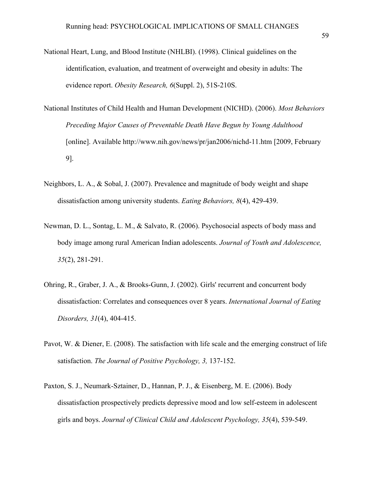- National Heart, Lung, and Blood Institute (NHLBI). (1998). Clinical guidelines on the identification, evaluation, and treatment of overweight and obesity in adults: The evidence report. *Obesity Research, 6*(Suppl. 2), 51S-210S.
- National Institutes of Child Health and Human Development (NICHD). (2006). *Most Behaviors Preceding Major Causes of Preventable Death Have Begun by Young Adulthood*  [online]. Available http://www.nih.gov/news/pr/jan2006/nichd-11.htm [2009, February 9].
- Neighbors, L. A., & Sobal, J. (2007). Prevalence and magnitude of body weight and shape dissatisfaction among university students. *Eating Behaviors, 8*(4), 429-439.
- Newman, D. L., Sontag, L. M., & Salvato, R. (2006). Psychosocial aspects of body mass and body image among rural American Indian adolescents. *Journal of Youth and Adolescence, 35*(2), 281-291.
- Ohring, R., Graber, J. A., & Brooks-Gunn, J. (2002). Girls' recurrent and concurrent body dissatisfaction: Correlates and consequences over 8 years. *International Journal of Eating Disorders, 31*(4), 404-415.
- Pavot, W. & Diener, E. (2008). The satisfaction with life scale and the emerging construct of life satisfaction. *The Journal of Positive Psychology, 3,* 137-152.
- Paxton, S. J., Neumark-Sztainer, D., Hannan, P. J., & Eisenberg, M. E. (2006). Body dissatisfaction prospectively predicts depressive mood and low self-esteem in adolescent girls and boys. *Journal of Clinical Child and Adolescent Psychology, 35*(4), 539-549.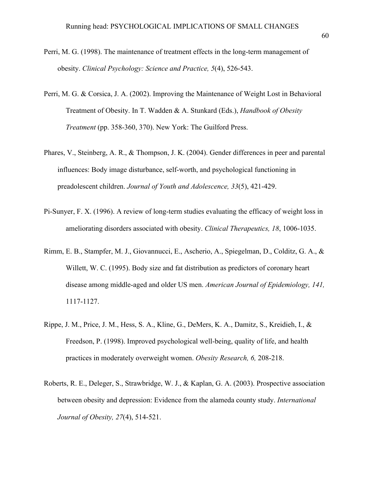- Perri, M. G. (1998). The maintenance of treatment effects in the long-term management of obesity. *Clinical Psychology: Science and Practice, 5*(4), 526-543.
- Perri, M. G. & Corsica, J. A. (2002). Improving the Maintenance of Weight Lost in Behavioral Treatment of Obesity. In T. Wadden & A. Stunkard (Eds.), *Handbook of Obesity Treatment* (pp. 358-360, 370). New York: The Guilford Press.
- Phares, V., Steinberg, A. R., & Thompson, J. K. (2004). Gender differences in peer and parental influences: Body image disturbance, self-worth, and psychological functioning in preadolescent children. *Journal of Youth and Adolescence, 33*(5), 421-429.
- Pi-Sunyer, F. X. (1996). A review of long-term studies evaluating the efficacy of weight loss in ameliorating disorders associated with obesity. *Clinical Therapeutics, 18*, 1006-1035.
- Rimm, E. B., Stampfer, M. J., Giovannucci, E., Ascherio, A., Spiegelman, D., Colditz, G. A., & Willett, W. C. (1995). Body size and fat distribution as predictors of coronary heart disease among middle-aged and older US men. *American Journal of Epidemiology, 141,*  1117-1127.
- Rippe, J. M., Price, J. M., Hess, S. A., Kline, G., DeMers, K. A., Damitz, S., Kreidieh, I., & Freedson, P. (1998). Improved psychological well-being, quality of life, and health practices in moderately overweight women. *Obesity Research, 6,* 208-218.
- Roberts, R. E., Deleger, S., Strawbridge, W. J., & Kaplan, G. A. (2003). Prospective association between obesity and depression: Evidence from the alameda county study. *International Journal of Obesity, 27*(4), 514-521.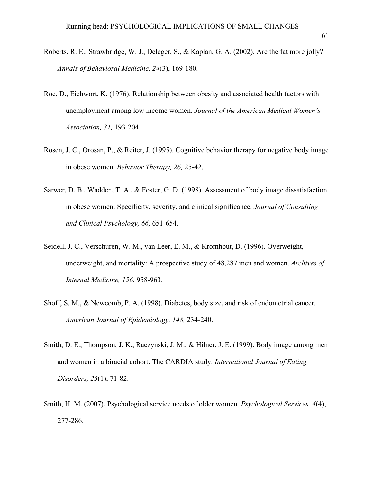- Roberts, R. E., Strawbridge, W. J., Deleger, S., & Kaplan, G. A. (2002). Are the fat more jolly? *Annals of Behavioral Medicine, 24*(3), 169-180.
- Roe, D., Eichwort, K. (1976). Relationship between obesity and associated health factors with unemployment among low income women. *Journal of the American Medical Women's Association, 31,* 193-204.
- Rosen, J. C., Orosan, P., & Reiter, J. (1995). Cognitive behavior therapy for negative body image in obese women. *Behavior Therapy, 26,* 25-42.
- Sarwer, D. B., Wadden, T. A., & Foster, G. D. (1998). Assessment of body image dissatisfaction in obese women: Specificity, severity, and clinical significance. *Journal of Consulting and Clinical Psychology, 66,* 651-654.
- Seidell, J. C., Verschuren, W. M., van Leer, E. M., & Kromhout, D. (1996). Overweight, underweight, and mortality: A prospective study of 48,287 men and women. *Archives of Internal Medicine, 156*, 958-963.
- Shoff, S. M., & Newcomb, P. A. (1998). Diabetes, body size, and risk of endometrial cancer. *American Journal of Epidemiology, 148,* 234-240.
- Smith, D. E., Thompson, J. K., Raczynski, J. M., & Hilner, J. E. (1999). Body image among men and women in a biracial cohort: The CARDIA study. *International Journal of Eating Disorders, 25*(1), 71-82.
- Smith, H. M. (2007). Psychological service needs of older women. *Psychological Services, 4*(4), 277-286.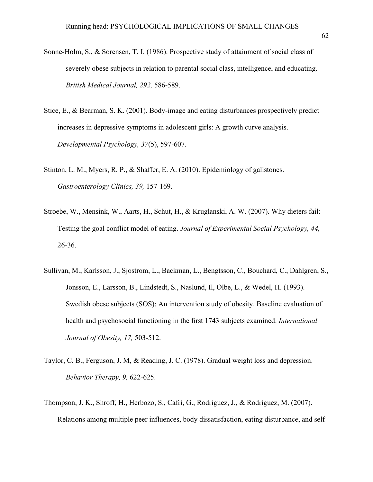- Sonne-Holm, S., & Sorensen, T. I. (1986). Prospective study of attainment of social class of severely obese subjects in relation to parental social class, intelligence, and educating. *British Medical Journal, 292,* 586-589.
- Stice, E., & Bearman, S. K. (2001). Body-image and eating disturbances prospectively predict increases in depressive symptoms in adolescent girls: A growth curve analysis. *Developmental Psychology, 37*(5), 597-607.
- Stinton, L. M., Myers, R. P., & Shaffer, E. A. (2010). Epidemiology of gallstones. *Gastroenterology Clinics, 39,* 157-169.
- Stroebe, W., Mensink, W., Aarts, H., Schut, H., & Kruglanski, A. W. (2007). Why dieters fail: Testing the goal conflict model of eating. *Journal of Experimental Social Psychology, 44,*  26-36.
- Sullivan, M., Karlsson, J., Sjostrom, L., Backman, L., Bengtsson, C., Bouchard, C., Dahlgren, S., Jonsson, E., Larsson, B., Lindstedt, S., Naslund, Il, Olbe, L., & Wedel, H. (1993). Swedish obese subjects (SOS): An intervention study of obesity. Baseline evaluation of health and psychosocial functioning in the first 1743 subjects examined. *International Journal of Obesity, 17,* 503-512.
- Taylor, C. B., Ferguson, J. M, & Reading, J. C. (1978). Gradual weight loss and depression. *Behavior Therapy, 9,* 622-625.
- Thompson, J. K., Shroff, H., Herbozo, S., Cafri, G., Rodriguez, J., & Rodriguez, M. (2007). Relations among multiple peer influences, body dissatisfaction, eating disturbance, and self-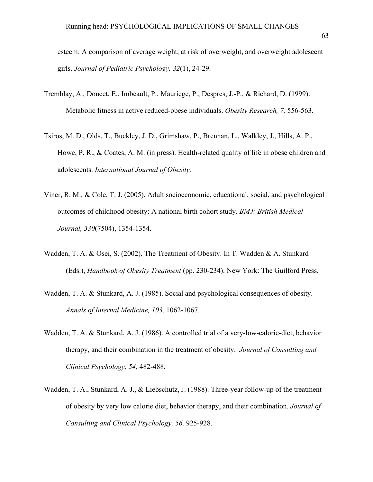- esteem: A comparison of average weight, at risk of overweight, and overweight adolescent girls. *Journal of Pediatric Psychology, 32*(1), 24-29.
- Tremblay, A., Doucet, E., Imbeault, P., Mauriege, P., Despres, J.-P., & Richard, D. (1999). Metabolic fitness in active reduced-obese individuals. *Obesity Research, 7,* 556-563.
- Tsiros, M. D., Olds, T., Buckley, J. D., Grimshaw, P., Brennan, L., Walkley, J., Hills, A. P., Howe, P. R., & Coates, A. M. (in press). Health-related quality of life in obese children and adolescents. *International Journal of Obesity.*
- Viner, R. M., & Cole, T. J. (2005). Adult socioeconomic, educational, social, and psychological outcomes of childhood obesity: A national birth cohort study. *BMJ: British Medical Journal, 330*(7504), 1354-1354.
- Wadden, T. A. & Osei, S. (2002). The Treatment of Obesity. In T. Wadden & A. Stunkard (Eds.), *Handbook of Obesity Treatment* (pp. 230-234). New York: The Guilford Press.
- Wadden, T. A. & Stunkard, A. J. (1985). Social and psychological consequences of obesity. *Annals of Internal Medicine, 103,* 1062-1067.
- Wadden, T. A. & Stunkard, A. J. (1986). A controlled trial of a very-low-calorie-diet, behavior therapy, and their combination in the treatment of obesity. *Journal of Consulting and Clinical Psychology, 54,* 482-488.
- Wadden, T. A., Stunkard, A. J., & Liebschutz, J. (1988). Three-year follow-up of the treatment of obesity by very low calorie diet, behavior therapy, and their combination. *Journal of Consulting and Clinical Psychology, 56,* 925-928.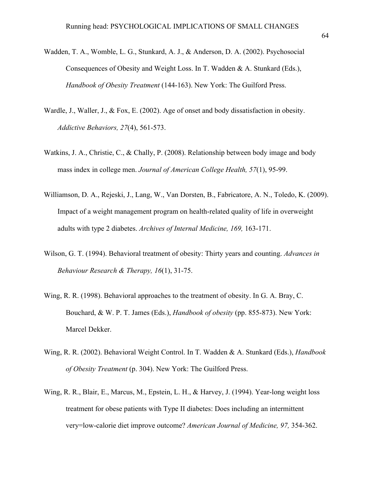- Wadden, T. A., Womble, L. G., Stunkard, A. J., & Anderson, D. A. (2002). Psychosocial Consequences of Obesity and Weight Loss. In T. Wadden & A. Stunkard (Eds.), *Handbook of Obesity Treatment* (144-163). New York: The Guilford Press.
- Wardle, J., Waller, J., & Fox, E. (2002). Age of onset and body dissatisfaction in obesity. *Addictive Behaviors, 27*(4), 561-573.
- Watkins, J. A., Christie, C., & Chally, P. (2008). Relationship between body image and body mass index in college men. *Journal of American College Health, 57*(1), 95-99.
- Williamson, D. A., Rejeski, J., Lang, W., Van Dorsten, B., Fabricatore, A. N., Toledo, K. (2009). Impact of a weight management program on health-related quality of life in overweight adults with type 2 diabetes. *Archives of Internal Medicine, 169,* 163-171.
- Wilson, G. T. (1994). Behavioral treatment of obesity: Thirty years and counting. *Advances in Behaviour Research & Therapy, 16*(1), 31-75.
- Wing, R. R. (1998). Behavioral approaches to the treatment of obesity. In G. A. Bray, C. Bouchard, & W. P. T. James (Eds.), *Handbook of obesity* (pp. 855-873). New York: Marcel Dekker.
- Wing, R. R. (2002). Behavioral Weight Control. In T. Wadden & A. Stunkard (Eds.), *Handbook of Obesity Treatment* (p. 304). New York: The Guilford Press.
- Wing, R. R., Blair, E., Marcus, M., Epstein, L. H., & Harvey, J. (1994). Year-long weight loss treatment for obese patients with Type II diabetes: Does including an intermittent very=low-calorie diet improve outcome? *American Journal of Medicine, 97,* 354-362.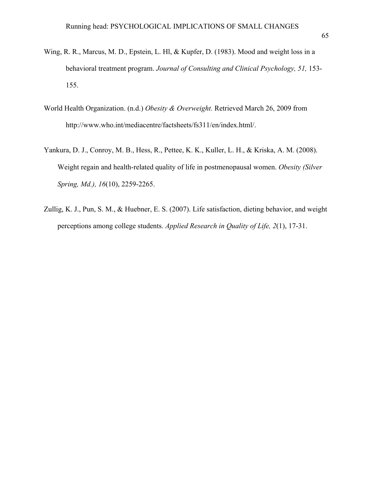- Wing, R. R., Marcus, M. D., Epstein, L. Hl, & Kupfer, D. (1983). Mood and weight loss in a behavioral treatment program. *Journal of Consulting and Clinical Psychology, 51,* 153- 155.
- World Health Organization. (n.d.) *Obesity & Overweight.* Retrieved March 26, 2009 from http://www.who.int/mediacentre/factsheets/fs311/en/index.html/.
- Yankura, D. J., Conroy, M. B., Hess, R., Pettee, K. K., Kuller, L. H., & Kriska, A. M. (2008). Weight regain and health-related quality of life in postmenopausal women. *Obesity (Silver Spring, Md.), 16*(10), 2259-2265.
- Zullig, K. J., Pun, S. M., & Huebner, E. S. (2007). Life satisfaction, dieting behavior, and weight perceptions among college students. *Applied Research in Quality of Life, 2*(1), 17-31.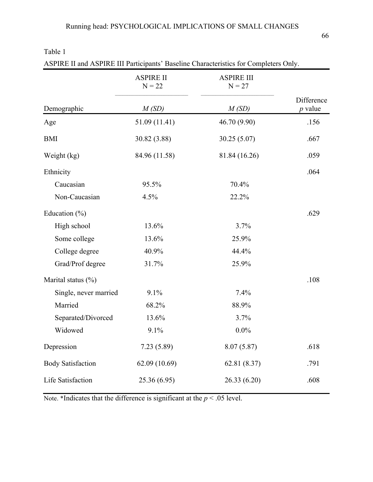|                          | <b>ASPIRE II</b><br>$N = 22$ | <b>ASPIRE III</b><br>$N = 27$ |                         |
|--------------------------|------------------------------|-------------------------------|-------------------------|
| Demographic              | M(SD)                        | M(SD)                         | Difference<br>$p$ value |
| Age                      | 51.09 (11.41)                | 46.70 (9.90)                  | .156                    |
| <b>BMI</b>               | 30.82 (3.88)                 | 30.25(5.07)                   | .667                    |
| Weight (kg)              | 84.96 (11.58)                | 81.84 (16.26)                 | .059                    |
| Ethnicity                |                              |                               | .064                    |
| Caucasian                | 95.5%                        | 70.4%                         |                         |
| Non-Caucasian            | 4.5%                         | 22.2%                         |                         |
| Education $(\% )$        |                              |                               | .629                    |
| High school              | 13.6%                        | 3.7%                          |                         |
| Some college             | 13.6%                        | 25.9%                         |                         |
| College degree           | 40.9%                        | 44.4%                         |                         |
| Grad/Prof degree         | 31.7%                        | 25.9%                         |                         |
| Marital status $(\%)$    |                              |                               | .108                    |
| Single, never married    | 9.1%                         | 7.4%                          |                         |
| Married                  | 68.2%                        | 88.9%                         |                         |
| Separated/Divorced       | 13.6%                        | 3.7%                          |                         |
| Widowed                  | 9.1%                         | $0.0\%$                       |                         |
| Depression               | 7.23(5.89)                   | 8.07(5.87)                    | .618                    |
| <b>Body Satisfaction</b> | 62.09 (10.69)                | 62.81(8.37)                   | .791                    |
| Life Satisfaction        | 25.36 (6.95)                 | 26.33 (6.20)                  | .608                    |

ASPIRE II and ASPIRE III Participants' Baseline Characteristics for Completers Only.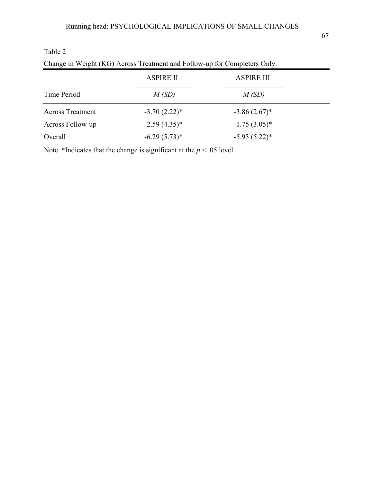| Change in Weight (INO) TWOSS TRadition and FOROW up for Completels Only. |                   |  |  |
|--------------------------------------------------------------------------|-------------------|--|--|
| <b>ASPIRE II</b>                                                         | <b>ASPIRE III</b> |  |  |
| M(SD)                                                                    | M(SD)             |  |  |
| $-3.70(2.22)$ *                                                          | $-3.86(2.67)^*$   |  |  |
| $-2.59(4.35)^*$                                                          | $-1.75(3.05)^*$   |  |  |
| $-6.29(5.73)*$                                                           | $-5.93(5.22)*$    |  |  |
|                                                                          |                   |  |  |

| Change in Weight (KG) Across Treatment and Follow-up for Completers Only. |  |  |
|---------------------------------------------------------------------------|--|--|
|---------------------------------------------------------------------------|--|--|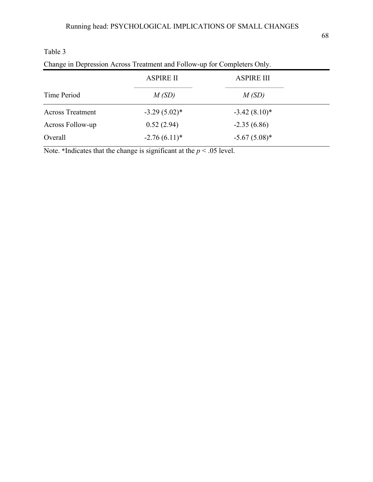| Change in Deplession Across Treatment and Forow-up for Completers Only. |                   |  |  |
|-------------------------------------------------------------------------|-------------------|--|--|
| <b>ASPIRE II</b>                                                        | <b>ASPIRE III</b> |  |  |
| M(SD)                                                                   | M(SD)             |  |  |
| $-3.29(5.02)^*$                                                         | $-3.42(8.10)*$    |  |  |
| 0.52(2.94)                                                              | $-2.35(6.86)$     |  |  |
| $-2.76(6.11)*$                                                          | $-5.67(5.08)$ *   |  |  |
|                                                                         |                   |  |  |

#### Table 3 Change in Depression Across Treatment and Follow-up for Completers Only.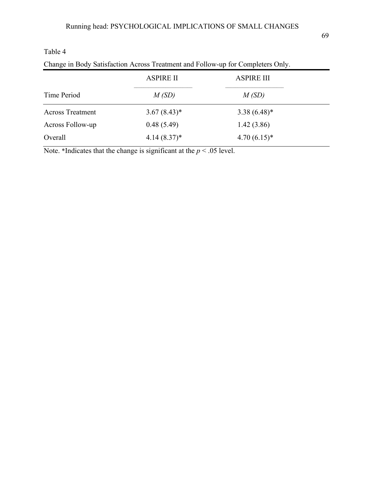| Change in Body Satisfaction Across Treatment and Follow-up for Completers Only. |                  |                   |  |
|---------------------------------------------------------------------------------|------------------|-------------------|--|
|                                                                                 | <b>ASPIRE II</b> | <b>ASPIRE III</b> |  |
| Time Period                                                                     | M(SD)            | M(SD)             |  |
| <b>Across Treatment</b>                                                         | $3.67(8.43)*$    | $3.38(6.48)$ *    |  |
| Across Follow-up                                                                | 0.48(5.49)       | 1.42(3.86)        |  |
| Overall                                                                         | $4.14(8.37)^*$   | $4.70(6.15)*$     |  |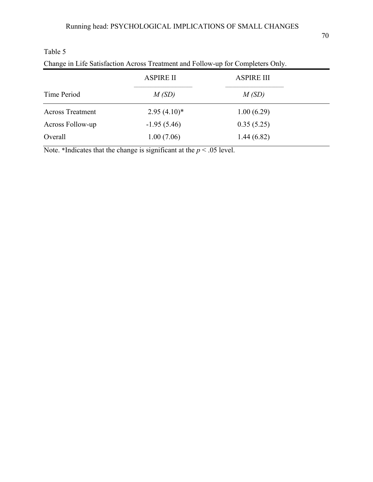| Change in Ene bandaouvelon Froroso Treatment and Follow ap for Completels Only. |                   |  |  |
|---------------------------------------------------------------------------------|-------------------|--|--|
| <b>ASPIRE II</b>                                                                | <b>ASPIRE III</b> |  |  |
| M(SD)                                                                           | M(SD)             |  |  |
| $2.95(4.10)^*$                                                                  | 1.00(6.29)        |  |  |
| $-1.95(5.46)$                                                                   | 0.35(5.25)        |  |  |
| 1.00(7.06)                                                                      | 1.44(6.82)        |  |  |
|                                                                                 |                   |  |  |

Change in Life Satisfaction Across Treatment and Follow-up for Completers Only.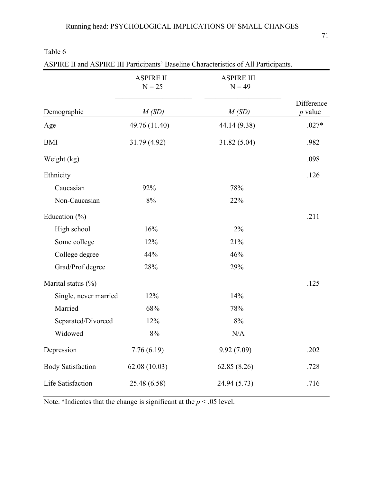| ASPIRE II and ASPIRE III Participants' Baseline Characteristics of All Participants. |                              |                               |                         |
|--------------------------------------------------------------------------------------|------------------------------|-------------------------------|-------------------------|
|                                                                                      | <b>ASPIRE II</b><br>$N = 25$ | <b>ASPIRE III</b><br>$N = 49$ |                         |
| Demographic                                                                          | M(SD)                        | M(SD)                         | Difference<br>$p$ value |
| Age                                                                                  | 49.76 (11.40)                | 44.14 (9.38)                  | $.027*$                 |
| <b>BMI</b>                                                                           | 31.79 (4.92)                 | 31.82 (5.04)                  | .982                    |
| Weight (kg)                                                                          |                              |                               | .098                    |
| Ethnicity                                                                            |                              |                               | .126                    |
| Caucasian                                                                            | 92%                          | 78%                           |                         |
| Non-Caucasian                                                                        | 8%                           | 22%                           |                         |
| Education $(\% )$                                                                    |                              |                               | .211                    |
| High school                                                                          | 16%                          | 2%                            |                         |
| Some college                                                                         | 12%                          | 21%                           |                         |
| College degree                                                                       | 44%                          | 46%                           |                         |
| Grad/Prof degree                                                                     | 28%                          | 29%                           |                         |
| Marital status $(\%)$                                                                |                              |                               | .125                    |
| Single, never married                                                                | 12%                          | 14%                           |                         |
| Married                                                                              | 68%                          | 78%                           |                         |
| Separated/Divorced                                                                   | 12%                          | 8%                            |                         |
| Widowed                                                                              | $8\%$                        | N/A                           |                         |
| Depression                                                                           | 7.76(6.19)                   | 9.92(7.09)                    | .202                    |
| <b>Body Satisfaction</b>                                                             | 62.08(10.03)                 | 62.85(8.26)                   | .728                    |
| Life Satisfaction                                                                    | 25.48 (6.58)                 | 24.94 (5.73)                  | .716                    |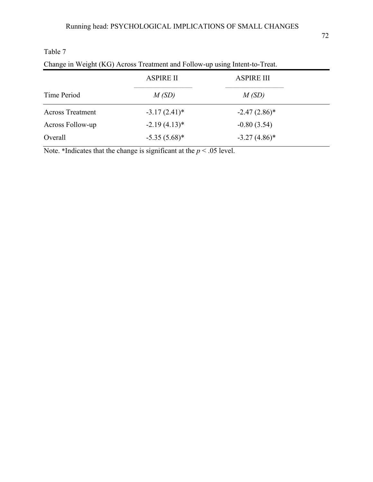| Change in Weight (KG) Across Treatment and Follow-up using intent-to-Treat. |                   |  |  |
|-----------------------------------------------------------------------------|-------------------|--|--|
| <b>ASPIRE II</b>                                                            | <b>ASPIRE III</b> |  |  |
| M(SD)                                                                       | M(SD)             |  |  |
| $-3.17(2.41)$ *                                                             | $-2.47(2.86)^*$   |  |  |
| $-2.19(4.13)^*$                                                             | $-0.80(3.54)$     |  |  |
| $-5.35(5.68)$ *                                                             | $-3.27(4.86)$ *   |  |  |
|                                                                             |                   |  |  |

Change in Weight (KG) Across Treatment and Follow-up using Intent-to-Treat.

Table 7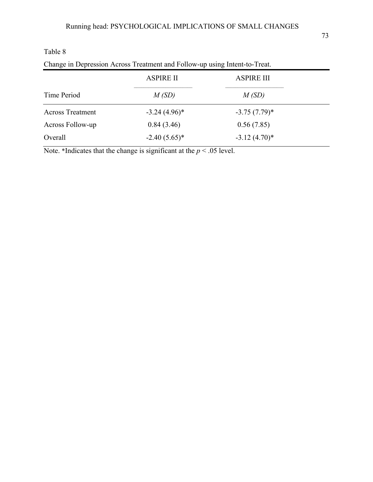| Change in Depression Across Treatment and Follow-up using Intent-to-Treat. |                   |  |  |
|----------------------------------------------------------------------------|-------------------|--|--|
| <b>ASPIRE II</b>                                                           | <b>ASPIRE III</b> |  |  |
| M(SD)                                                                      | M(SD)             |  |  |
| $-3.24(4.96)$ *                                                            | $-3.75(7.79)^*$   |  |  |
| 0.84(3.46)                                                                 | 0.56(7.85)        |  |  |
| $-2.40(5.65)*$                                                             | $-3.12(4.70)$ *   |  |  |
|                                                                            |                   |  |  |

Change in Depression Across Treatment and Follow-up using Intent-to-Treat.

Table 8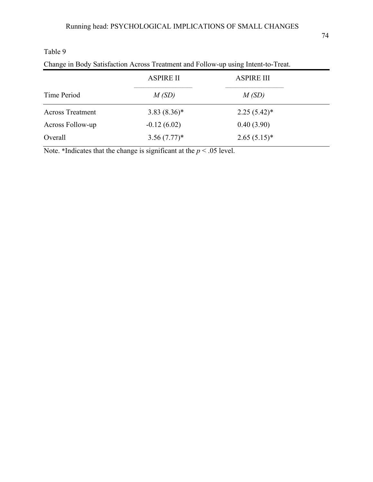| Change in Body Satisfaction Across Treatment and Follow-up using Intent-to-Treat. |                  |                   |  |
|-----------------------------------------------------------------------------------|------------------|-------------------|--|
|                                                                                   | <b>ASPIRE II</b> | <b>ASPIRE III</b> |  |
| Time Period                                                                       | M(SD)            | M(SD)             |  |
| <b>Across Treatment</b>                                                           | $3.83(8.36)^*$   | $2.25(5.42)^*$    |  |
| Across Follow-up                                                                  | $-0.12(6.02)$    | 0.40(3.90)        |  |
| Overall                                                                           | $3.56(7.77)^*$   | $2.65(5.15)^*$    |  |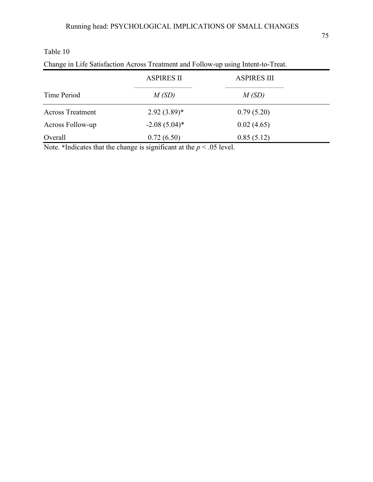| Change in Life Satisfaction Across Treatment and Follow-up using Intent-to-Treat. |                   |                    |  |
|-----------------------------------------------------------------------------------|-------------------|--------------------|--|
|                                                                                   | <b>ASPIRES II</b> | <b>ASPIRES III</b> |  |
| Time Period                                                                       | M(SD)             | M(SD)              |  |
| <b>Across Treatment</b>                                                           | $2.92(3.89)^*$    | 0.79(5.20)         |  |
| Across Follow-up                                                                  | $-2.08(5.04)^*$   | 0.02(4.65)         |  |
| Overall                                                                           | 0.72(6.50)        | 0.85(5.12)         |  |

Note. \*Indicates that the change is significant at the  $p < .05$  level.

Table 10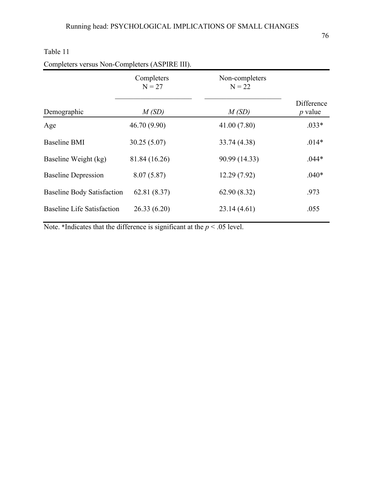|                                   | Completers<br>$N = 27$ | Non-completers<br>$N = 22$ |                         |
|-----------------------------------|------------------------|----------------------------|-------------------------|
| Demographic                       | M(SD)                  | M(SD)                      | Difference<br>$p$ value |
| Age                               | 46.70 (9.90)           | 41.00 (7.80)               | $.033*$                 |
| <b>Baseline BMI</b>               | 30.25(5.07)            | 33.74 (4.38)               | $.014*$                 |
| Baseline Weight (kg)              | 81.84 (16.26)          | 90.99 (14.33)              | $.044*$                 |
| <b>Baseline Depression</b>        | 8.07(5.87)             | 12.29(7.92)                | $.040*$                 |
| <b>Baseline Body Satisfaction</b> | 62.81(8.37)            | 62.90(8.32)                | .973                    |
| <b>Baseline Life Satisfaction</b> | 26.33(6.20)            | 23.14(4.61)                | .055                    |

| Completers versus Non-Completers (ASPIRE III). |  |  |  |  |  |
|------------------------------------------------|--|--|--|--|--|
|------------------------------------------------|--|--|--|--|--|